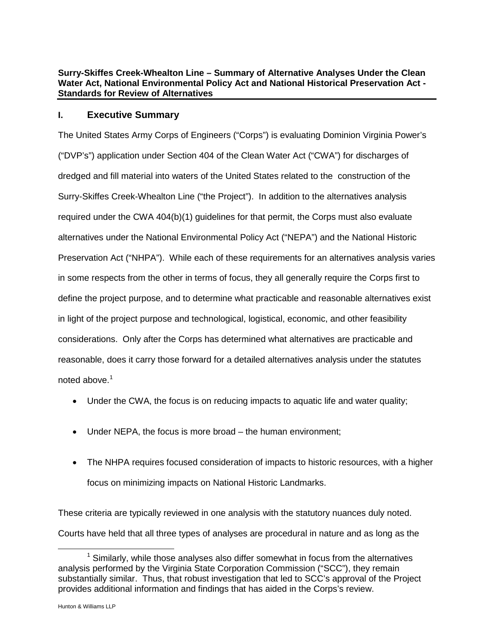Dominion Resources Services, Inc. Law Department 120 Tredegar St.- Riverside 2, Richmond, VA 23219

dom.com

**Bob McGuire** Director, Electric Transmission Project Development & Execution Direct: (804) 771-3599 E-mail: bob.mcguire@dom.com

Dominion

**US Army Corps of Engineers Norfolk District Regulatory Office Received by: RLS Date: August 28, 2015** 

August 28, 2015

United States Army Corps of Engineers Norfolk District Attention: Randy Steffey 803 Front Street Norfolk, Virignia 23510-1011

#### RE: **Alternatives Analysis Summary**

Similar to the Consolidate Effects Report we are providing the attached summary of alternatives analyses under the Section  $404(b)(1)$  guidelines, the National Environmental Policy Act and the National Historic Preservation Act.

Should you have any questions or need additional information, please contact me at (804) 771-3599 or bob.mcguire@dom.com.

Sincerely,

**Bob McGuire** Director, Electric Transmission Project Development & Execution

cc: Tom Walker, ACE Christine Conrad, Stantec Ben Stagg, VMRC Larissa Ambrose, DEQ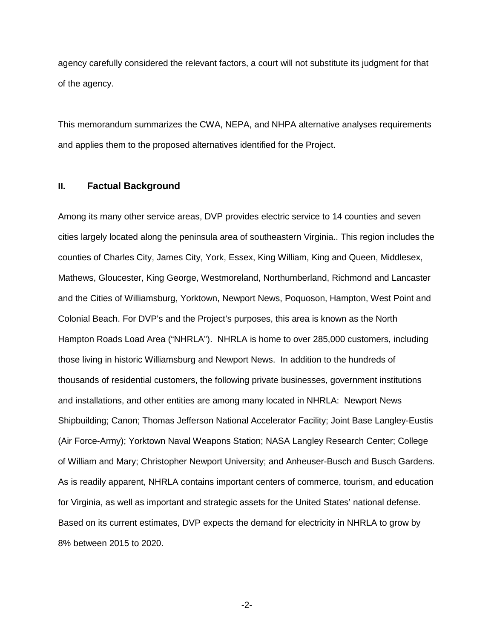## **Surry-Skiffes Creek-Whealton Line – Summary of Alternative Analyses Under the Clean Water Act, National Environmental Policy Act and National Historical Preservation Act - Standards for Review of Alternatives**

## **I. Executive Summary**

The United States Army Corps of Engineers ("Corps") is evaluating Dominion Virginia Power's ("DVP's") application under Section 404 of the Clean Water Act ("CWA") for discharges of dredged and fill material into waters of the United States related to the construction of the Surry-Skiffes Creek-Whealton Line ("the Project"). In addition to the alternatives analysis required under the CWA 404(b)(1) guidelines for that permit, the Corps must also evaluate alternatives under the National Environmental Policy Act ("NEPA") and the National Historic Preservation Act ("NHPA"). While each of these requirements for an alternatives analysis varies in some respects from the other in terms of focus, they all generally require the Corps first to define the project purpose, and to determine what practicable and reasonable alternatives exist in light of the project purpose and technological, logistical, economic, and other feasibility considerations. Only after the Corps has determined what alternatives are practicable and reasonable, does it carry those forward for a detailed alternatives analysis under the statutes noted above. $^1$  $^1$ 

- Under the CWA, the focus is on reducing impacts to aquatic life and water quality;
- Under NEPA, the focus is more broad the human environment;
- The NHPA requires focused consideration of impacts to historic resources, with a higher focus on minimizing impacts on National Historic Landmarks.

These criteria are typically reviewed in one analysis with the statutory nuances duly noted. Courts have held that all three types of analyses are procedural in nature and as long as the

<span id="page-1-0"></span> $1$  Similarly, while those analyses also differ somewhat in focus from the alternatives analysis performed by the Virginia State Corporation Commission ("SCC"), they remain substantially similar. Thus, that robust investigation that led to SCC's approval of the Project provides additional information and findings that has aided in the Corps's review.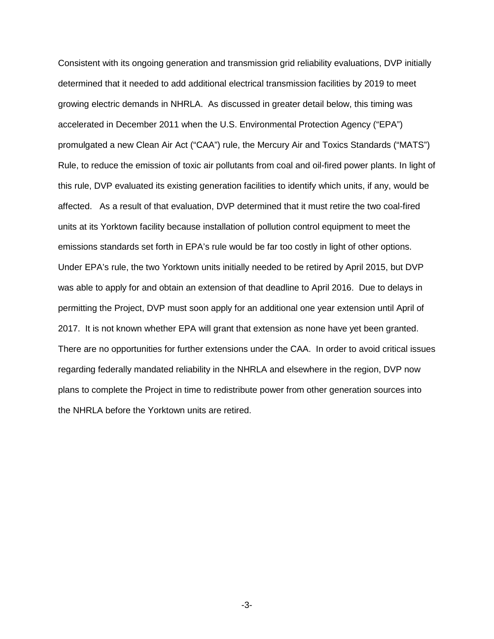agency carefully considered the relevant factors, a court will not substitute its judgment for that of the agency.

This memorandum summarizes the CWA, NEPA, and NHPA alternative analyses requirements and applies them to the proposed alternatives identified for the Project.

## **II. Factual Background**

Among its many other service areas, DVP provides electric service to 14 counties and seven cities largely located along the peninsula area of southeastern Virginia.. This region includes the counties of Charles City, James City, York, Essex, King William, King and Queen, Middlesex, Mathews, Gloucester, King George, Westmoreland, Northumberland, Richmond and Lancaster and the Cities of Williamsburg, Yorktown, Newport News, Poquoson, Hampton, West Point and Colonial Beach. For DVP's and the Project's purposes, this area is known as the North Hampton Roads Load Area ("NHRLA"). NHRLA is home to over 285,000 customers, including those living in historic Williamsburg and Newport News. In addition to the hundreds of thousands of residential customers, the following private businesses, government institutions and installations, and other entities are among many located in NHRLA: Newport News Shipbuilding; Canon; Thomas Jefferson National Accelerator Facility; Joint Base Langley-Eustis (Air Force-Army); Yorktown Naval Weapons Station; NASA Langley Research Center; College of William and Mary; Christopher Newport University; and Anheuser-Busch and Busch Gardens. As is readily apparent, NHRLA contains important centers of commerce, tourism, and education for Virginia, as well as important and strategic assets for the United States' national defense. Based on its current estimates, DVP expects the demand for electricity in NHRLA to grow by 8% between 2015 to 2020.

-2-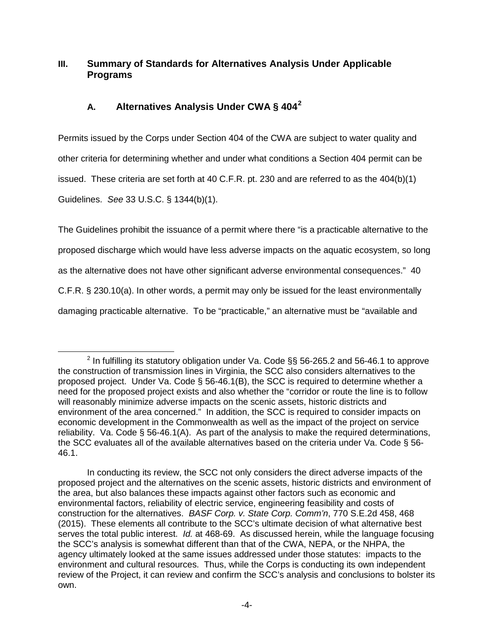Consistent with its ongoing generation and transmission grid reliability evaluations, DVP initially determined that it needed to add additional electrical transmission facilities by 2019 to meet growing electric demands in NHRLA. As discussed in greater detail below, this timing was accelerated in December 2011 when the U.S. Environmental Protection Agency ("EPA") promulgated a new Clean Air Act ("CAA") rule, the Mercury Air and Toxics Standards ("MATS") Rule, to reduce the emission of toxic air pollutants from coal and oil-fired power plants. In light of this rule, DVP evaluated its existing generation facilities to identify which units, if any, would be affected. As a result of that evaluation, DVP determined that it must retire the two coal-fired units at its Yorktown facility because installation of pollution control equipment to meet the emissions standards set forth in EPA's rule would be far too costly in light of other options. Under EPA's rule, the two Yorktown units initially needed to be retired by April 2015, but DVP was able to apply for and obtain an extension of that deadline to April 2016. Due to delays in permitting the Project, DVP must soon apply for an additional one year extension until April of 2017. It is not known whether EPA will grant that extension as none have yet been granted. There are no opportunities for further extensions under the CAA. In order to avoid critical issues regarding federally mandated reliability in the NHRLA and elsewhere in the region, DVP now plans to complete the Project in time to redistribute power from other generation sources into the NHRLA before the Yorktown units are retired.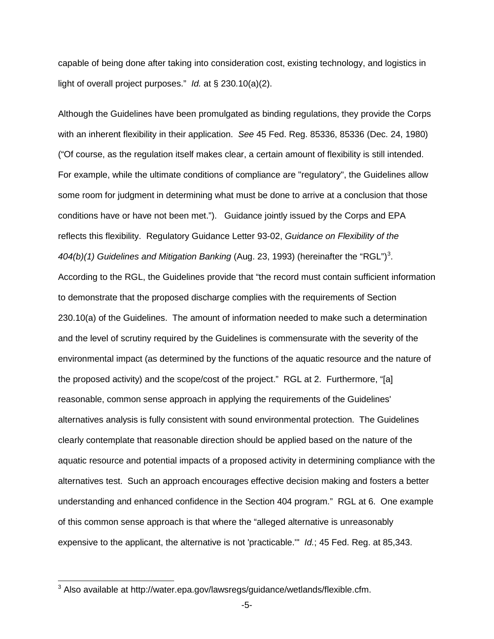# **III. Summary of Standards for Alternatives Analysis Under Applicable Programs**

# **A. Alternatives Analysis Under CWA § 404[2](#page-4-0)**

Permits issued by the Corps under Section 404 of the CWA are subject to water quality and other criteria for determining whether and under what conditions a Section 404 permit can be issued. These criteria are set forth at 40 C.F.R. pt. 230 and are referred to as the 404(b)(1) Guidelines. *See* 33 U.S.C. § 1344(b)(1).

The Guidelines prohibit the issuance of a permit where there "is a practicable alternative to the proposed discharge which would have less adverse impacts on the aquatic ecosystem, so long as the alternative does not have other significant adverse environmental consequences." 40 C.F.R. § 230.10(a). In other words, a permit may only be issued for the least environmentally damaging practicable alternative. To be "practicable," an alternative must be "available and

<span id="page-4-0"></span> $2$  In fulfilling its statutory obligation under Va. Code §§ 56-265.2 and 56-46.1 to approve the construction of transmission lines in Virginia, the SCC also considers alternatives to the proposed project. Under Va. Code § 56-46.1(B), the SCC is required to determine whether a need for the proposed project exists and also whether the "corridor or route the line is to follow will reasonably minimize adverse impacts on the scenic assets, historic districts and environment of the area concerned." In addition, the SCC is required to consider impacts on economic development in the Commonwealth as well as the impact of the project on service reliability. Va. Code § 56-46.1(A). As part of the analysis to make the required determinations, the SCC evaluates all of the available alternatives based on the criteria under Va. Code § 56- 46.1.

In conducting its review, the SCC not only considers the direct adverse impacts of the proposed project and the alternatives on the scenic assets, historic districts and environment of the area, but also balances these impacts against other factors such as economic and environmental factors, reliability of electric service, engineering feasibility and costs of construction for the alternatives. *BASF Corp. v. State Corp. Comm'n*, 770 S.E.2d 458, 468 (2015). These elements all contribute to the SCC's ultimate decision of what alternative best serves the total public interest. *Id.* at 468-69. As discussed herein, while the language focusing the SCC's analysis is somewhat different than that of the CWA, NEPA, or the NHPA, the agency ultimately looked at the same issues addressed under those statutes: impacts to the environment and cultural resources. Thus, while the Corps is conducting its own independent review of the Project, it can review and confirm the SCC's analysis and conclusions to bolster its own.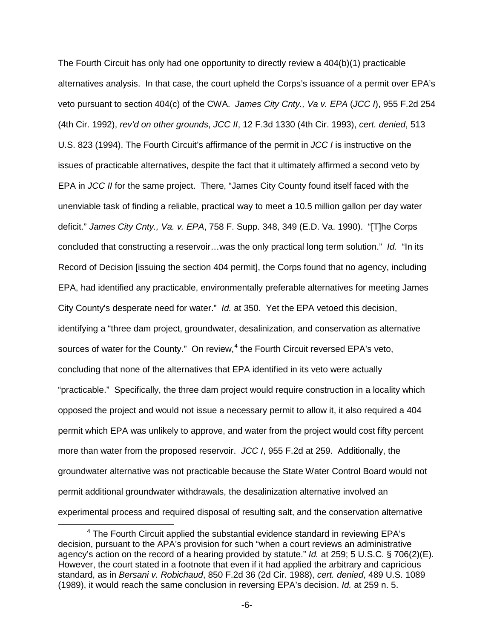capable of being done after taking into consideration cost, existing technology, and logistics in light of overall project purposes." *Id.* at § 230.10(a)(2).

Although the Guidelines have been promulgated as binding regulations, they provide the Corps with an inherent flexibility in their application. *See* 45 Fed. Reg. 85336, 85336 (Dec. 24, 1980) ("Of course, as the regulation itself makes clear, a certain amount of flexibility is still intended. For example, while the ultimate conditions of compliance are "regulatory", the Guidelines allow some room for judgment in determining what must be done to arrive at a conclusion that those conditions have or have not been met."). Guidance jointly issued by the Corps and EPA reflects this flexibility. Regulatory Guidance Letter 93-02, *Guidance on Flexibility of the*  404(b)(1) Guidelines and Mitigation Banking (Aug. 2[3](#page-5-0), 1993) (hereinafter the "RGL")<sup>3</sup>. According to the RGL, the Guidelines provide that "the record must contain sufficient information to demonstrate that the proposed discharge complies with the requirements of Section 230.10(a) of the Guidelines. The amount of information needed to make such a determination and the level of scrutiny required by the Guidelines is commensurate with the severity of the environmental impact (as determined by the functions of the aquatic resource and the nature of the proposed activity) and the scope/cost of the project." RGL at 2. Furthermore, "[a] reasonable, common sense approach in applying the requirements of the Guidelines' alternatives analysis is fully consistent with sound environmental protection. The Guidelines clearly contemplate that reasonable direction should be applied based on the nature of the aquatic resource and potential impacts of a proposed activity in determining compliance with the alternatives test. Such an approach encourages effective decision making and fosters a better understanding and enhanced confidence in the Section 404 program." RGL at 6. One example of this common sense approach is that where the "alleged alternative is unreasonably expensive to the applicant, the alternative is not 'practicable.'" *Id.*; 45 Fed. Reg. at 85,343.

<span id="page-5-0"></span><sup>&</sup>lt;sup>3</sup> Also available at http://water.epa.gov/lawsregs/guidance/wetlands/flexible.cfm.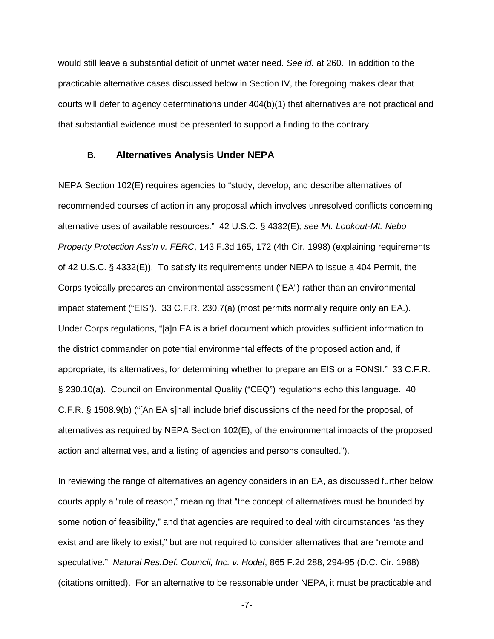The Fourth Circuit has only had one opportunity to directly review a 404(b)(1) practicable alternatives analysis. In that case, the court upheld the Corps's issuance of a permit over EPA's veto pursuant to section 404(c) of the CWA. *James City Cnty., Va v. EPA* (*JCC I*), 955 F.2d 254 (4th Cir. 1992), *rev'd on other grounds*, *JCC II*, 12 F.3d 1330 (4th Cir. 1993), *cert. denied*, 513 U.S. 823 (1994). The Fourth Circuit's affirmance of the permit in *JCC I* is instructive on the issues of practicable alternatives, despite the fact that it ultimately affirmed a second veto by EPA in *JCC II* for the same project. There, "James City County found itself faced with the unenviable task of finding a reliable, practical way to meet a 10.5 million gallon per day water deficit." *James City Cnty., Va. v. EPA*, 758 F. Supp. 348, 349 (E.D. Va. 1990). "[T]he Corps concluded that constructing a reservoir…was the only practical long term solution." *Id.* "In its Record of Decision [issuing the section 404 permit], the Corps found that no agency, including EPA, had identified any practicable, environmentally preferable alternatives for meeting James City County's desperate need for water." *Id.* at 350. Yet the EPA vetoed this decision, identifying a "three dam project, groundwater, desalinization, and conservation as alternative sources of water for the County." On review, $4$  the Fourth Circuit reversed EPA's veto, concluding that none of the alternatives that EPA identified in its veto were actually "practicable." Specifically, the three dam project would require construction in a locality which opposed the project and would not issue a necessary permit to allow it, it also required a 404 permit which EPA was unlikely to approve, and water from the project would cost fifty percent more than water from the proposed reservoir. *JCC I*, 955 F.2d at 259. Additionally, the groundwater alternative was not practicable because the State Water Control Board would not permit additional groundwater withdrawals, the desalinization alternative involved an experimental process and required disposal of resulting salt, and the conservation alternative

<span id="page-6-0"></span><sup>&</sup>lt;sup>4</sup> The Fourth Circuit applied the substantial evidence standard in reviewing EPA's decision, pursuant to the APA's provision for such "when a court reviews an administrative agency's action on the record of a hearing provided by statute." *Id.* at 259; 5 U.S.C. § 706(2)(E). However, the court stated in a footnote that even if it had applied the arbitrary and capricious standard, as in *Bersani v. Robichaud*, 850 F.2d 36 (2d Cir. 1988), *cert. denied*, 489 U.S. 1089 (1989), it would reach the same conclusion in reversing EPA's decision. *Id.* at 259 n. 5.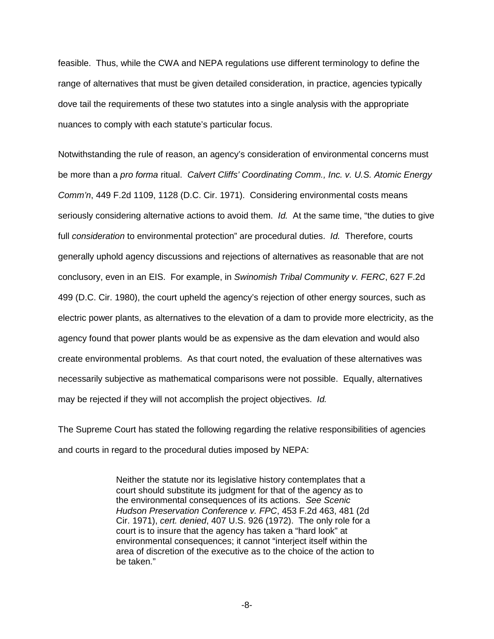would still leave a substantial deficit of unmet water need. *See id.* at 260. In addition to the practicable alternative cases discussed below in Section IV, the foregoing makes clear that courts will defer to agency determinations under 404(b)(1) that alternatives are not practical and that substantial evidence must be presented to support a finding to the contrary.

#### **B. Alternatives Analysis Under NEPA**

NEPA Section 102(E) requires agencies to "study, develop, and describe alternatives of recommended courses of action in any proposal which involves unresolved conflicts concerning alternative uses of available resources." 42 U.S.C. § 4332(E)*; see Mt. Lookout-Mt. Nebo Property Protection Ass'n v. FERC*, 143 F.3d 165, 172 (4th Cir. 1998) (explaining requirements of 42 U.S.C. § 4332(E)). To satisfy its requirements under NEPA to issue a 404 Permit, the Corps typically prepares an environmental assessment ("EA") rather than an environmental impact statement ("EIS"). 33 C.F.R. 230.7(a) (most permits normally require only an EA.). Under Corps regulations, "[a]n EA is a brief document which provides sufficient information to the district commander on potential environmental effects of the proposed action and, if appropriate, its alternatives, for determining whether to prepare an EIS or a FONSI." 33 C.F.R. § 230.10(a). Council on Environmental Quality ("CEQ") regulations echo this language. 40 C.F.R. § 1508.9(b) ("[An EA s]hall include brief discussions of the need for the proposal, of alternatives as required by NEPA Section 102(E), of the environmental impacts of the proposed action and alternatives, and a listing of agencies and persons consulted.").

In reviewing the range of alternatives an agency considers in an EA, as discussed further below, courts apply a "rule of reason," meaning that "the concept of alternatives must be bounded by some notion of feasibility," and that agencies are required to deal with circumstances "as they exist and are likely to exist," but are not required to consider alternatives that are "remote and speculative." *Natural Res.Def. Council, Inc. v. Hodel*, 865 F.2d 288, 294-95 (D.C. Cir. 1988) (citations omitted). For an alternative to be reasonable under NEPA, it must be practicable and

-7-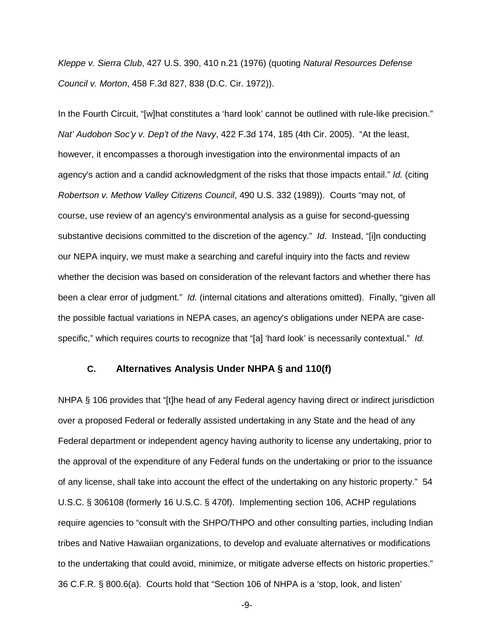feasible. Thus, while the CWA and NEPA regulations use different terminology to define the range of alternatives that must be given detailed consideration, in practice, agencies typically dove tail the requirements of these two statutes into a single analysis with the appropriate nuances to comply with each statute's particular focus.

Notwithstanding the rule of reason, an agency's consideration of environmental concerns must be more than a *pro forma* ritual. *Calvert Cliffs' Coordinating Comm., Inc. v. U.S. Atomic Energy Comm'n*, 449 F.2d 1109, 1128 (D.C. Cir. 1971). Considering environmental costs means seriously considering alternative actions to avoid them. *Id.* At the same time, "the duties to give full *consideration* to environmental protection" are procedural duties. *Id.* Therefore, courts generally uphold agency discussions and rejections of alternatives as reasonable that are not conclusory, even in an EIS. For example, in *Swinomish Tribal Community v. FERC*, 627 F.2d 499 (D.C. Cir. 1980), the court upheld the agency's rejection of other energy sources, such as electric power plants, as alternatives to the elevation of a dam to provide more electricity, as the agency found that power plants would be as expensive as the dam elevation and would also create environmental problems. As that court noted, the evaluation of these alternatives was necessarily subjective as mathematical comparisons were not possible. Equally, alternatives may be rejected if they will not accomplish the project objectives. *Id.*

The Supreme Court has stated the following regarding the relative responsibilities of agencies and courts in regard to the procedural duties imposed by NEPA:

> Neither the statute nor its legislative history contemplates that a court should substitute its judgment for that of the agency as to the environmental consequences of its actions. *See Scenic Hudson Preservation Conference v. FPC*, 453 F.2d 463, 481 (2d Cir. 1971), *cert. denied*, 407 U.S. 926 (1972). The only role for a court is to insure that the agency has taken a "hard look" at environmental consequences; it cannot "interject itself within the area of discretion of the executive as to the choice of the action to be taken."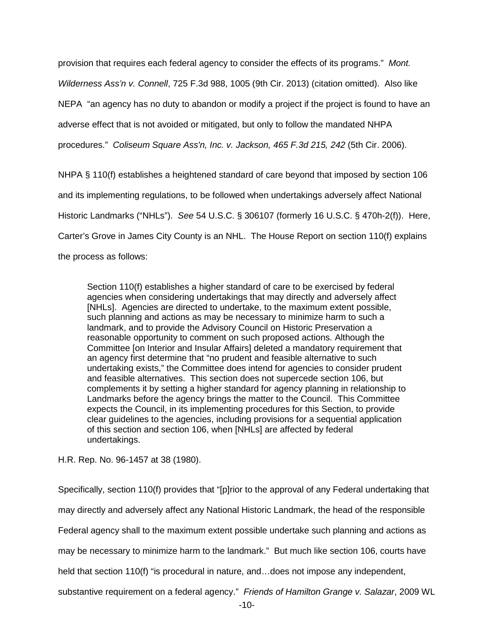*Kleppe v. Sierra Club*, 427 U.S. 390, 410 n.21 (1976) (quoting *Natural Resources Defense Council v. Morton*, 458 F.3d 827, 838 (D.C. Cir. 1972)).

In the Fourth Circuit, "[w]hat constitutes a 'hard look' cannot be outlined with rule-like precision." *Nat' Audobon Soc'y v. Dep't of the Navy*, 422 F.3d 174, 185 (4th Cir. 2005). "At the least, however, it encompasses a thorough investigation into the environmental impacts of an agency's action and a candid acknowledgment of the risks that those impacts entail." *Id.* (citing *Robertson v. Methow Valley Citizens Council*, 490 U.S. 332 (1989)). Courts "may not, of course, use review of an agency's environmental analysis as a guise for second-guessing substantive decisions committed to the discretion of the agency." *Id.* Instead, "[i]n conducting our NEPA inquiry, we must make a searching and careful inquiry into the facts and review whether the decision was based on consideration of the relevant factors and whether there has been a clear error of judgment." *Id.* (internal citations and alterations omitted). Finally, "given all the possible factual variations in NEPA cases, an agency's obligations under NEPA are casespecific," which requires courts to recognize that "[a] 'hard look' is necessarily contextual." *Id.*

# **C. Alternatives Analysis Under NHPA § and 110(f)**

NHPA § 106 provides that "[t]he head of any Federal agency having direct or indirect jurisdiction over a proposed Federal or federally assisted undertaking in any State and the head of any Federal department or independent agency having authority to license any undertaking, prior to the approval of the expenditure of any Federal funds on the undertaking or prior to the issuance of any license, shall take into account the effect of the undertaking on any historic property." 54 U.S.C. § 306108 (formerly 16 U.S.C. § 470f). Implementing section 106, ACHP regulations require agencies to "consult with the SHPO/THPO and other consulting parties, including Indian tribes and Native Hawaiian organizations, to develop and evaluate alternatives or modifications to the undertaking that could avoid, minimize, or mitigate adverse effects on historic properties." 36 C.F.R. § 800.6(a). Courts hold that "Section 106 of NHPA is a 'stop, look, and listen'

-9-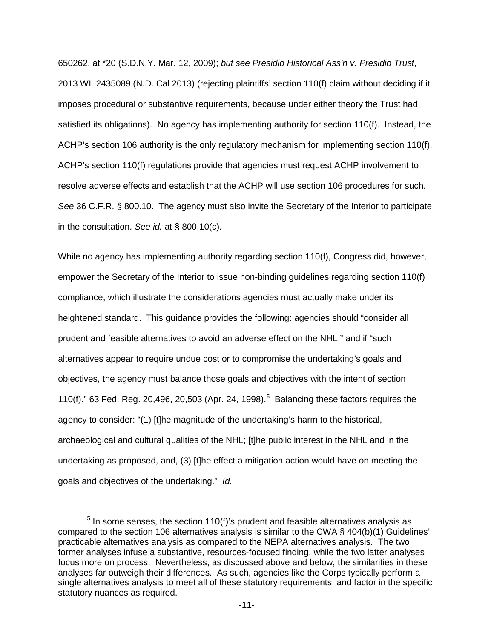provision that requires each federal agency to consider the effects of its programs." *Mont. Wilderness Ass'n v. Connell*, 725 F.3d 988, 1005 (9th Cir. 2013) (citation omitted). Also like NEPA "an agency has no duty to abandon or modify a project if the project is found to have an adverse effect that is not avoided or mitigated, but only to follow the mandated NHPA procedures." *Coliseum Square Ass'n, Inc. v. Jackson, 465 F.3d 215, 242* (5th Cir. 2006).

NHPA § 110(f) establishes a heightened standard of care beyond that imposed by section 106 and its implementing regulations, to be followed when undertakings adversely affect National Historic Landmarks ("NHLs"). *See* 54 U.S.C. § 306107 (formerly 16 U.S.C. § 470h-2(f)). Here, Carter's Grove in James City County is an NHL. The House Report on section 110(f) explains the process as follows:

Section 110(f) establishes a higher standard of care to be exercised by federal agencies when considering undertakings that may directly and adversely affect [NHLs]. Agencies are directed to undertake, to the maximum extent possible, such planning and actions as may be necessary to minimize harm to such a landmark, and to provide the Advisory Council on Historic Preservation a reasonable opportunity to comment on such proposed actions. Although the Committee [on Interior and Insular Affairs] deleted a mandatory requirement that an agency first determine that "no prudent and feasible alternative to such undertaking exists," the Committee does intend for agencies to consider prudent and feasible alternatives. This section does not supercede section 106, but complements it by setting a higher standard for agency planning in relationship to Landmarks before the agency brings the matter to the Council. This Committee expects the Council, in its implementing procedures for this Section, to provide clear guidelines to the agencies, including provisions for a sequential application of this section and section 106, when [NHLs] are affected by federal undertakings.

H.R. Rep. No. 96-1457 at 38 (1980).

Specifically, section 110(f) provides that "[p]rior to the approval of any Federal undertaking that may directly and adversely affect any National Historic Landmark, the head of the responsible Federal agency shall to the maximum extent possible undertake such planning and actions as may be necessary to minimize harm to the landmark." But much like section 106, courts have held that section 110(f) "is procedural in nature, and...does not impose any independent, substantive requirement on a federal agency." *Friends of Hamilton Grange v. Salazar*, 2009 WL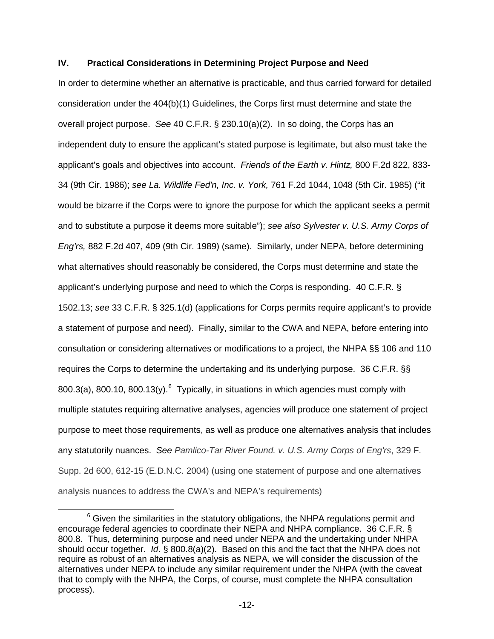650262, at \*20 (S.D.N.Y. Mar. 12, 2009); *but see Presidio Historical Ass'n v. Presidio Trust*, 2013 WL 2435089 (N.D. Cal 2013) (rejecting plaintiffs' section 110(f) claim without deciding if it imposes procedural or substantive requirements, because under either theory the Trust had satisfied its obligations). No agency has implementing authority for section 110(f). Instead, the ACHP's section 106 authority is the only regulatory mechanism for implementing section 110(f). ACHP's section 110(f) regulations provide that agencies must request ACHP involvement to resolve adverse effects and establish that the ACHP will use section 106 procedures for such. *See* 36 C.F.R. § 800.10. The agency must also invite the Secretary of the Interior to participate in the consultation. *See id.* at § 800.10(c).

While no agency has implementing authority regarding section 110(f), Congress did, however, empower the Secretary of the Interior to issue non-binding guidelines regarding section 110(f) compliance, which illustrate the considerations agencies must actually make under its heightened standard. This guidance provides the following: agencies should "consider all prudent and feasible alternatives to avoid an adverse effect on the NHL," and if "such alternatives appear to require undue cost or to compromise the undertaking's goals and objectives, the agency must balance those goals and objectives with the intent of section 110(f)." 63 Fed. Reg. 20,496, 20,[5](#page-11-0)03 (Apr. 24, 1998). $<sup>5</sup>$  Balancing these factors requires the</sup> agency to consider: "(1) [t]he magnitude of the undertaking's harm to the historical, archaeological and cultural qualities of the NHL; [t]he public interest in the NHL and in the undertaking as proposed, and, (3) [t]he effect a mitigation action would have on meeting the goals and objectives of the undertaking." *Id.*

<span id="page-11-0"></span> $5$  In some senses, the section 110(f)'s prudent and feasible alternatives analysis as compared to the section 106 alternatives analysis is similar to the CWA § 404(b)(1) Guidelines' practicable alternatives analysis as compared to the NEPA alternatives analysis. The two former analyses infuse a substantive, resources-focused finding, while the two latter analyses focus more on process. Nevertheless, as discussed above and below, the similarities in these analyses far outweigh their differences. As such, agencies like the Corps typically perform a single alternatives analysis to meet all of these statutory requirements, and factor in the specific statutory nuances as required.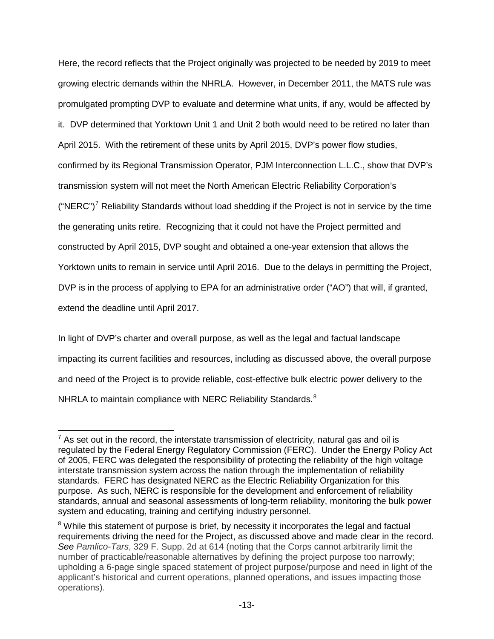### **IV. Practical Considerations in Determining Project Purpose and Need**

In order to determine whether an alternative is practicable, and thus carried forward for detailed consideration under the 404(b)(1) Guidelines, the Corps first must determine and state the overall project purpose. *See* 40 C.F.R. § 230.10(a)(2). In so doing, the Corps has an independent duty to ensure the applicant's stated purpose is legitimate, but also must take the applicant's goals and objectives into account. *Friends of the Earth v. Hintz,* 800 F.2d 822, 833- 34 (9th Cir. 1986); *see La. Wildlife Fed'n, Inc. v. York,* 761 F.2d 1044, 1048 (5th Cir. 1985) ("it would be bizarre if the Corps were to ignore the purpose for which the applicant seeks a permit and to substitute a purpose it deems more suitable"); *see also Sylvester v. U.S. Army Corps of Eng'rs,* 882 F.2d 407, 409 (9th Cir. 1989) (same). Similarly, under NEPA, before determining what alternatives should reasonably be considered, the Corps must determine and state the applicant's underlying purpose and need to which the Corps is responding. 40 C.F.R. § 1502.13; *see* 33 C.F.R. § 325.1(d) (applications for Corps permits require applicant's to provide a statement of purpose and need). Finally, similar to the CWA and NEPA, before entering into consultation or considering alternatives or modifications to a project, the NHPA §§ 106 and 110 requires the Corps to determine the undertaking and its underlying purpose. 36 C.F.R. §§ 800.3(a), 800.10, 800.13(y). $^6$  $^6$  Typically, in situations in which agencies must comply with multiple statutes requiring alternative analyses, agencies will produce one statement of project purpose to meet those requirements, as well as produce one alternatives analysis that includes any statutorily nuances. *See Pamlico-Tar River Found. v. U.S. Army Corps of Eng'rs*, 329 F. Supp. 2d 600, 612-15 (E.D.N.C. 2004) (using one statement of purpose and one alternatives analysis nuances to address the CWA's and NEPA's requirements)

<span id="page-12-0"></span> $6$  Given the similarities in the statutory obligations, the NHPA regulations permit and encourage federal agencies to coordinate their NEPA and NHPA compliance. 36 C.F.R. § 800.8. Thus, determining purpose and need under NEPA and the undertaking under NHPA should occur together. *Id*. § 800.8(a)(2). Based on this and the fact that the NHPA does not require as robust of an alternatives analysis as NEPA, we will consider the discussion of the alternatives under NEPA to include any similar requirement under the NHPA (with the caveat that to comply with the NHPA, the Corps, of course, must complete the NHPA consultation process).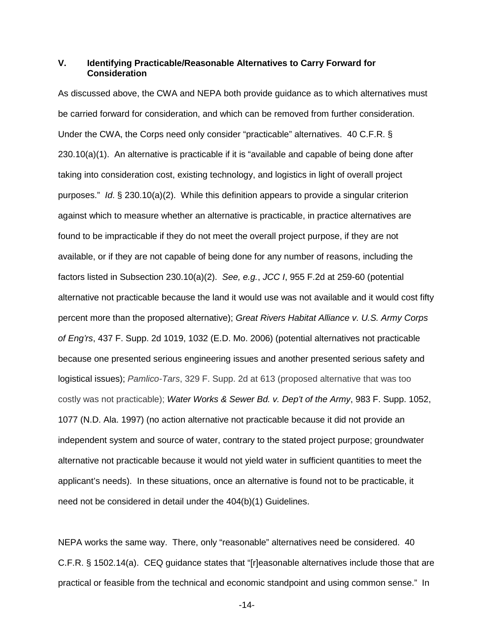Here, the record reflects that the Project originally was projected to be needed by 2019 to meet growing electric demands within the NHRLA. However, in December 2011, the MATS rule was promulgated prompting DVP to evaluate and determine what units, if any, would be affected by it. DVP determined that Yorktown Unit 1 and Unit 2 both would need to be retired no later than April 2015. With the retirement of these units by April 2015, DVP's power flow studies, confirmed by its Regional Transmission Operator, PJM Interconnection L.L.C., show that DVP's transmission system will not meet the North American Electric Reliability Corporation's ("NERC")<sup>[7](#page-13-0)</sup> Reliability Standards without load shedding if the Project is not in service by the time the generating units retire. Recognizing that it could not have the Project permitted and constructed by April 2015, DVP sought and obtained a one-year extension that allows the Yorktown units to remain in service until April 2016. Due to the delays in permitting the Project, DVP is in the process of applying to EPA for an administrative order ("AO") that will, if granted, extend the deadline until April 2017.

In light of DVP's charter and overall purpose, as well as the legal and factual landscape impacting its current facilities and resources, including as discussed above, the overall purpose and need of the Project is to provide reliable, cost-effective bulk electric power delivery to the NHRLA to maintain compliance with NERC Reliability Standards. $8$ 

<span id="page-13-0"></span> $<sup>7</sup>$  As set out in the record, the interstate transmission of electricity, natural gas and oil is</sup> regulated by the Federal Energy Regulatory Commission (FERC). Under the Energy Policy Act of 2005, FERC was delegated the responsibility of protecting the reliability of the high voltage interstate transmission system across the nation through the implementation of reliability standards. FERC has designated NERC as the Electric Reliability Organization for this purpose. As such, NERC is responsible for the development and enforcement of reliability standards, annual and seasonal assessments of long-term reliability, monitoring the bulk power system and educating, training and certifying industry personnel.

<span id="page-13-1"></span><sup>&</sup>lt;sup>8</sup> While this statement of purpose is brief, by necessity it incorporates the legal and factual requirements driving the need for the Project, as discussed above and made clear in the record. *See Pamlico-Tars*, 329 F. Supp. 2d at 614 (noting that the Corps cannot arbitrarily limit the number of practicable/reasonable alternatives by defining the project purpose too narrowly; upholding a 6-page single spaced statement of project purpose/purpose and need in light of the applicant's historical and current operations, planned operations, and issues impacting those operations).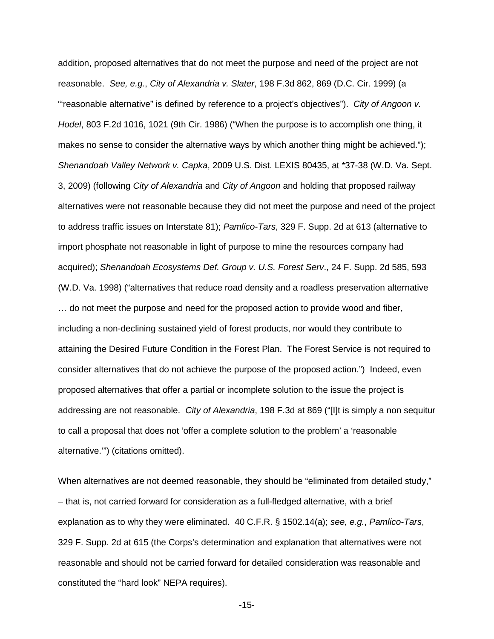### **V. Identifying Practicable/Reasonable Alternatives to Carry Forward for Consideration**

As discussed above, the CWA and NEPA both provide guidance as to which alternatives must be carried forward for consideration, and which can be removed from further consideration. Under the CWA, the Corps need only consider "practicable" alternatives. 40 C.F.R. § 230.10(a)(1). An alternative is practicable if it is "available and capable of being done after taking into consideration cost, existing technology, and logistics in light of overall project purposes." *Id*. § 230.10(a)(2). While this definition appears to provide a singular criterion against which to measure whether an alternative is practicable, in practice alternatives are found to be impracticable if they do not meet the overall project purpose, if they are not available, or if they are not capable of being done for any number of reasons, including the factors listed in Subsection 230.10(a)(2). *See, e.g.*, *JCC I*, 955 F.2d at 259-60 (potential alternative not practicable because the land it would use was not available and it would cost fifty percent more than the proposed alternative); *Great Rivers Habitat Alliance v. U.S. Army Corps of Eng'rs*, 437 F. Supp. 2d 1019, 1032 (E.D. Mo. 2006) (potential alternatives not practicable because one presented serious engineering issues and another presented serious safety and logistical issues); *Pamlico-Tars*, 329 F. Supp. 2d at 613 (proposed alternative that was too costly was not practicable); *Water Works & Sewer Bd. v. Dep't of the Army*, 983 F. Supp. 1052, 1077 (N.D. Ala. 1997) (no action alternative not practicable because it did not provide an independent system and source of water, contrary to the stated project purpose; groundwater alternative not practicable because it would not yield water in sufficient quantities to meet the applicant's needs). In these situations, once an alternative is found not to be practicable, it need not be considered in detail under the 404(b)(1) Guidelines.

NEPA works the same way. There, only "reasonable" alternatives need be considered. 40 C.F.R. § 1502.14(a). CEQ guidance states that "[r]easonable alternatives include those that are practical or feasible from the technical and economic standpoint and using common sense." In

-14-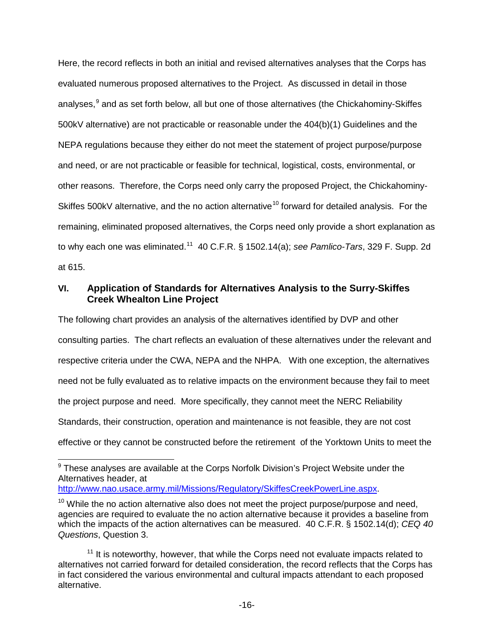addition, proposed alternatives that do not meet the purpose and need of the project are not reasonable. *See, e.g.*, *City of Alexandria v. Slater*, 198 F.3d 862, 869 (D.C. Cir. 1999) (a "'reasonable alternative" is defined by reference to a project's objectives"). *City of Angoon v. Hodel*, 803 F.2d 1016, 1021 (9th Cir. 1986) ("When the purpose is to accomplish one thing, it makes no sense to consider the alternative ways by which another thing might be achieved."); *Shenandoah Valley Network v. Capka*, 2009 U.S. Dist. LEXIS 80435, at \*37-38 (W.D. Va. Sept. 3, 2009) (following *City of Alexandria* and *City of Angoon* and holding that proposed railway alternatives were not reasonable because they did not meet the purpose and need of the project to address traffic issues on Interstate 81); *Pamlico-Tars*, 329 F. Supp. 2d at 613 (alternative to import phosphate not reasonable in light of purpose to mine the resources company had acquired); *Shenandoah Ecosystems Def. Group v. U.S. Forest Serv*., 24 F. Supp. 2d 585, 593 (W.D. Va. 1998) ("alternatives that reduce road density and a roadless preservation alternative … do not meet the purpose and need for the proposed action to provide wood and fiber, including a non-declining sustained yield of forest products, nor would they contribute to attaining the Desired Future Condition in the Forest Plan. The Forest Service is not required to consider alternatives that do not achieve the purpose of the proposed action.") Indeed, even proposed alternatives that offer a partial or incomplete solution to the issue the project is addressing are not reasonable. *City of Alexandria*, 198 F.3d at 869 ("[I]t is simply a non sequitur to call a proposal that does not 'offer a complete solution to the problem' a 'reasonable alternative.'") (citations omitted).

When alternatives are not deemed reasonable, they should be "eliminated from detailed study," – that is, not carried forward for consideration as a full-fledged alternative, with a brief explanation as to why they were eliminated. 40 C.F.R. § 1502.14(a); *see, e.g.*, *Pamlico-Tars*, 329 F. Supp. 2d at 615 (the Corps's determination and explanation that alternatives were not reasonable and should not be carried forward for detailed consideration was reasonable and constituted the "hard look" NEPA requires).

-15-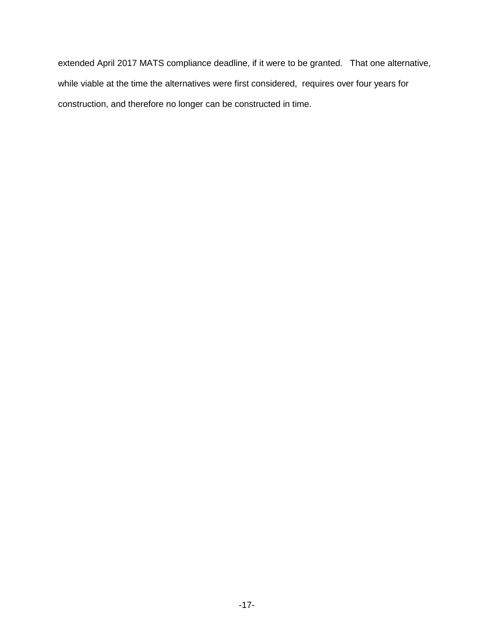Here, the record reflects in both an initial and revised alternatives analyses that the Corps has evaluated numerous proposed alternatives to the Project. As discussed in detail in those analyses.<sup>[9](#page-16-0)</sup> and as set forth below, all but one of those alternatives (the Chickahominy-Skiffes 500kV alternative) are not practicable or reasonable under the 404(b)(1) Guidelines and the NEPA regulations because they either do not meet the statement of project purpose/purpose and need, or are not practicable or feasible for technical, logistical, costs, environmental, or other reasons. Therefore, the Corps need only carry the proposed Project, the Chickahominy-Skiffes 500kV alternative, and the no action alternative<sup>[10](#page-16-1)</sup> forward for detailed analysis. For the remaining, eliminated proposed alternatives, the Corps need only provide a short explanation as to why each one was eliminated.[11](#page-16-2) 40 C.F.R. § 1502.14(a); *see Pamlico-Tars*, 329 F. Supp. 2d at 615.

## **VI. Application of Standards for Alternatives Analysis to the Surry-Skiffes Creek Whealton Line Project**

The following chart provides an analysis of the alternatives identified by DVP and other consulting parties. The chart reflects an evaluation of these alternatives under the relevant and respective criteria under the CWA, NEPA and the NHPA. With one exception, the alternatives need not be fully evaluated as to relative impacts on the environment because they fail to meet the project purpose and need. More specifically, they cannot meet the NERC Reliability Standards, their construction, operation and maintenance is not feasible, they are not cost effective or they cannot be constructed before the retirement of the Yorktown Units to meet the

<span id="page-16-0"></span> $9$  These analyses are available at the Corps Norfolk Division's Project Website under the Alternatives header, at

[http://www.nao.usace.army.mil/Missions/Regulatory/SkiffesCreekPowerLine.aspx.](http://www.nao.usace.army.mil/Missions/Regulatory/SkiffesCreekPowerLine.aspx)

<span id="page-16-1"></span> $10$  While the no action alternative also does not meet the project purpose/purpose and need, agencies are required to evaluate the no action alternative because it provides a baseline from which the impacts of the action alternatives can be measured. 40 C.F.R. § 1502.14(d); *CEQ 40 Questions*, Question 3.

<span id="page-16-2"></span> $11$  It is noteworthy, however, that while the Corps need not evaluate impacts related to alternatives not carried forward for detailed consideration, the record reflects that the Corps has in fact considered the various environmental and cultural impacts attendant to each proposed alternative.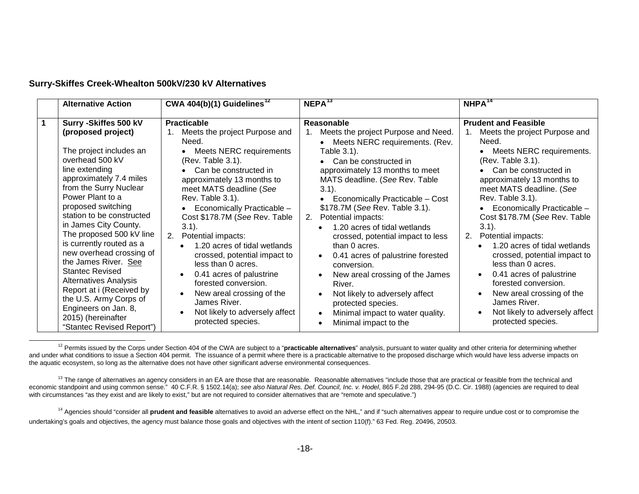extended April 2017 MATS compliance deadline, if it were to be granted. That one alternative, while viable at the time the alternatives were first considered, requires over four years for construction, and therefore no longer can be constructed in time.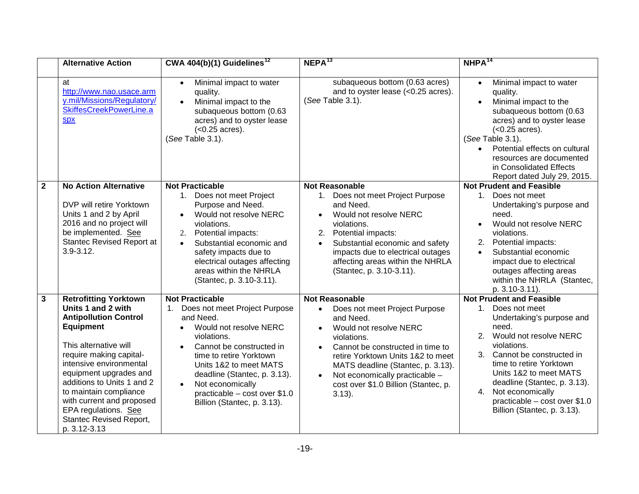<span id="page-18-2"></span><span id="page-18-1"></span><span id="page-18-0"></span>

|  | Surry-Skiffes Creek-Whealton 500kV/230 kV Alternatives |  |  |
|--|--------------------------------------------------------|--|--|
|--|--------------------------------------------------------|--|--|

| <b>Alternative Action</b>                                                                                                                                                                                                                                                                                                                                                                                                                                                                                                                                                | CWA 404(b)(1) Guidelines <sup>12</sup>                                                                                                                                                                                                                                                                                                                                                                                                                                                                                                                                         | NEPA <sup>13</sup>                                                                                                                                                                                                                                                                                                                                                                                                                                                                                                                                                                                                                                         | $NHPA^{14}$                                                                                                                                                                                                                                                                                                                                                                                                                                                                                                                                                                               |
|--------------------------------------------------------------------------------------------------------------------------------------------------------------------------------------------------------------------------------------------------------------------------------------------------------------------------------------------------------------------------------------------------------------------------------------------------------------------------------------------------------------------------------------------------------------------------|--------------------------------------------------------------------------------------------------------------------------------------------------------------------------------------------------------------------------------------------------------------------------------------------------------------------------------------------------------------------------------------------------------------------------------------------------------------------------------------------------------------------------------------------------------------------------------|------------------------------------------------------------------------------------------------------------------------------------------------------------------------------------------------------------------------------------------------------------------------------------------------------------------------------------------------------------------------------------------------------------------------------------------------------------------------------------------------------------------------------------------------------------------------------------------------------------------------------------------------------------|-------------------------------------------------------------------------------------------------------------------------------------------------------------------------------------------------------------------------------------------------------------------------------------------------------------------------------------------------------------------------------------------------------------------------------------------------------------------------------------------------------------------------------------------------------------------------------------------|
| Surry - Skiffes 500 kV<br>(proposed project)<br>The project includes an<br>overhead 500 kV<br>line extending<br>approximately 7.4 miles<br>from the Surry Nuclear<br>Power Plant to a<br>proposed switching<br>station to be constructed<br>in James City County.<br>The proposed 500 kV line<br>is currently routed as a<br>new overhead crossing of<br>the James River. See<br><b>Stantec Revised</b><br><b>Alternatives Analysis</b><br>Report at i (Received by<br>the U.S. Army Corps of<br>Engineers on Jan. 8,<br>2015) (hereinafter<br>"Stantec Revised Report") | <b>Practicable</b><br>Meets the project Purpose and<br>1.<br>Need.<br>Meets NERC requirements<br>(Rev. Table 3.1).<br>Can be constructed in<br>approximately 13 months to<br>meet MATS deadline (See<br>Rev. Table 3.1).<br>Economically Practicable -<br>Cost \$178.7M (See Rev. Table<br>$3.1$ ).<br>Potential impacts:<br>2.<br>1.20 acres of tidal wetlands<br>crossed, potential impact to<br>less than 0 acres.<br>0.41 acres of palustrine<br>forested conversion.<br>New areal crossing of the<br>James River.<br>Not likely to adversely affect<br>protected species. | <b>Reasonable</b><br>Meets the project Purpose and Need.<br>Meets NERC requirements. (Rev.<br>Table 3.1).<br>Can be constructed in<br>approximately 13 months to meet<br>MATS deadline. (See Rev. Table<br>$3.1$ ).<br>Economically Practicable - Cost<br>\$178.7M (See Rev. Table 3.1).<br>Potential impacts:<br>2.<br>1.20 acres of tidal wetlands<br>crossed, potential impact to less<br>than 0 acres.<br>0.41 acres of palustrine forested<br>$\bullet$<br>conversion.<br>New areal crossing of the James<br>$\bullet$<br>River.<br>Not likely to adversely affect<br>protected species.<br>Minimal impact to water quality.<br>Minimal impact to the | <b>Prudent and Feasible</b><br>Meets the project Purpose and<br>1.<br>Need.<br>Meets NERC requirements.<br>(Rev. Table 3.1).<br>Can be constructed in<br>approximately 13 months to<br>meet MATS deadline. (See<br>Rev. Table 3.1).<br>Economically Practicable -<br>Cost \$178.7M (See Rev. Table<br>$3.1$ ).<br>Potential impacts:<br>2.<br>1.20 acres of tidal wetlands<br>crossed, potential impact to<br>less than 0 acres.<br>0.41 acres of palustrine<br>forested conversion.<br>New areal crossing of the<br>James River.<br>Not likely to adversely affect<br>protected species. |

<sup>12</sup> Permits issued by the Corps under Section 404 of the CWA are subject to a "**practicable alternatives**" analysis, pursuant to water quality and other criteria for determining whether and under what conditions to issue a Section 404 permit. The issuance of a permit where there is a practicable alternative to the proposed discharge which would have less adverse impacts on the aquatic ecosystem, so long as the alternative does not have other significant adverse environmental consequences.

<sup>13</sup> The range of alternatives an agency considers in an EA are those that are reasonable. Reasonable alternatives "include those that are practical or feasible from the technical and economic standpoint and using common sense." 40 C.F.R. § 1502.14(a); *see also Natural Res. Def. Council, Inc. v. Hodel*, 865 F.2d 288, 294-95 (D.C. Cir. 1988) (agencies are required to deal with circumstances "as they exist and are likely to exist," but are not required to consider alternatives that are "remote and speculative.")

<sup>14</sup> Agencies should "consider all **prudent and feasible** alternatives to avoid an adverse effect on the NHL," and if "such alternatives appear to require undue cost or to compromise the undertaking's goals and objectives, the agency must balance those goals and objectives with the intent of section 110(f)." 63 Fed. Reg. 20496, 20503.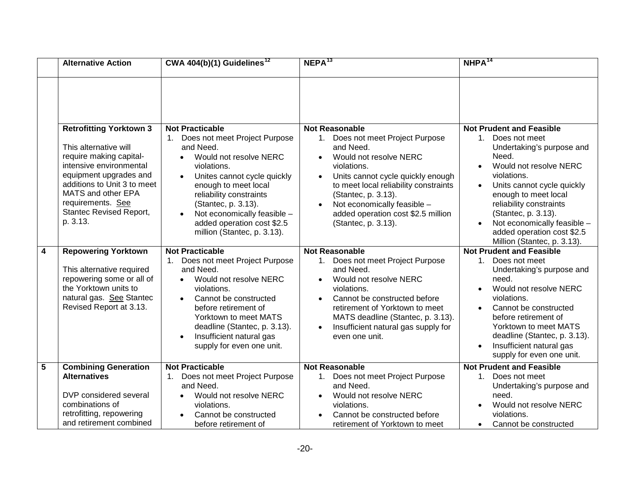|              | <b>Alternative Action</b>                                                                                                                                                                                                                                                                                                                                               | CWA $404(b)(1)$ Guidelines <sup>12</sup>                                                                                                                                                                                                                                                                                        | NEPA <sup>13</sup>                                                                                                                                                                                                                                                                                                                          | $NHPA^{14}$                                                                                                                                                                                                                                                                                                                                            |
|--------------|-------------------------------------------------------------------------------------------------------------------------------------------------------------------------------------------------------------------------------------------------------------------------------------------------------------------------------------------------------------------------|---------------------------------------------------------------------------------------------------------------------------------------------------------------------------------------------------------------------------------------------------------------------------------------------------------------------------------|---------------------------------------------------------------------------------------------------------------------------------------------------------------------------------------------------------------------------------------------------------------------------------------------------------------------------------------------|--------------------------------------------------------------------------------------------------------------------------------------------------------------------------------------------------------------------------------------------------------------------------------------------------------------------------------------------------------|
|              | at<br>http://www.nao.usace.arm<br>y.mil/Missions/Regulatory/<br>SkiffesCreekPowerLine.a<br><b>Spx</b>                                                                                                                                                                                                                                                                   | Minimal impact to water<br>$\bullet$<br>quality.<br>Minimal impact to the<br>subaqueous bottom (0.63<br>acres) and to oyster lease<br>$(<0.25$ acres).<br>(See Table 3.1).                                                                                                                                                      | subaqueous bottom (0.63 acres)<br>and to oyster lease (<0.25 acres).<br>(See Table 3.1).                                                                                                                                                                                                                                                    | Minimal impact to water<br>$\bullet$<br>quality.<br>Minimal impact to the<br>$\bullet$<br>subaqueous bottom (0.63<br>acres) and to oyster lease<br>$(<0.25$ acres).<br>(See Table 3.1).<br>Potential effects on cultural<br>resources are documented<br>in Consolidated Effects<br>Report dated July 29, 2015.                                         |
| $\mathbf{2}$ | <b>No Action Alternative</b><br>DVP will retire Yorktown<br>Units 1 and 2 by April<br>2016 and no project will<br>be implemented. See<br>Stantec Revised Report at<br>$3.9 - 3.12.$                                                                                                                                                                                     | <b>Not Practicable</b><br>1. Does not meet Project<br>Purpose and Need.<br>Would not resolve NERC<br>$\bullet$<br>violations.<br>Potential impacts:<br>2.<br>Substantial economic and<br>$\bullet$<br>safety impacts due to<br>electrical outages affecting<br>areas within the NHRLA<br>(Stantec, p. 3.10-3.11).               | <b>Not Reasonable</b><br>Does not meet Project Purpose<br>1.<br>and Need.<br>Would not resolve NERC<br>violations.<br>Potential impacts:<br>2.<br>Substantial economic and safety<br>impacts due to electrical outages<br>affecting areas within the NHRLA<br>(Stantec, p. 3.10-3.11).                                                      | <b>Not Prudent and Feasible</b><br>Does not meet<br>$1_{\cdot}$<br>Undertaking's purpose and<br>need.<br>Would not resolve NERC<br>$\bullet$<br>violations.<br>Potential impacts:<br>Substantial economic<br>$\bullet$<br>impact due to electrical<br>outages affecting areas<br>within the NHRLA (Stantec,<br>p. 3.10-3.11).                          |
| 3            | <b>Retrofitting Yorktown</b><br>Units 1 and 2 with<br><b>Antipollution Control</b><br><b>Equipment</b><br>This alternative will<br>require making capital-<br>intensive environmental<br>equipment upgrades and<br>additions to Units 1 and 2<br>to maintain compliance<br>with current and proposed<br>EPA regulations. See<br>Stantec Revised Report,<br>p. 3.12-3.13 | <b>Not Practicable</b><br>Does not meet Project Purpose<br>and Need.<br>Would not resolve NERC<br>$\bullet$<br>violations.<br>Cannot be constructed in<br>time to retire Yorktown<br>Units 1&2 to meet MATS<br>deadline (Stantec, p. 3.13).<br>Not economically<br>practicable - cost over \$1.0<br>Billion (Stantec, p. 3.13). | <b>Not Reasonable</b><br>Does not meet Project Purpose<br>and Need.<br>Would not resolve NERC<br>violations.<br>Cannot be constructed in time to<br>$\bullet$<br>retire Yorktown Units 1&2 to meet<br>MATS deadline (Stantec, p. 3.13).<br>Not economically practicable -<br>$\bullet$<br>cost over \$1.0 Billion (Stantec, p.<br>$3.13$ ). | <b>Not Prudent and Feasible</b><br>1.<br>Does not meet<br>Undertaking's purpose and<br>need.<br>2. Would not resolve NERC<br>violations.<br>3. Cannot be constructed in<br>time to retire Yorktown<br>Units 1&2 to meet MATS<br>deadline (Stantec, p. 3.13).<br>Not economically<br>4.<br>practicable - cost over \$1.0<br>Billion (Stantec, p. 3.13). |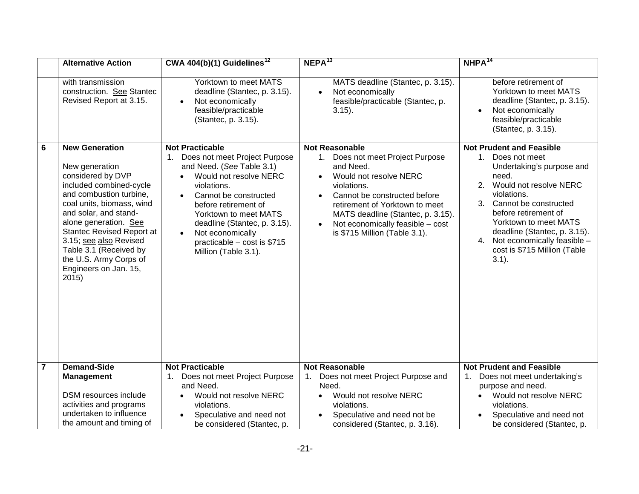|   | <b>Alternative Action</b>                                                                                                                                                                                                                                | CWA 404(b)(1) Guidelines <sup>12</sup>                                                                                                                                                                                                                                                                             | NEPA <sup>13</sup>                                                                                                                                                                                                                                                                                                               | $NHPA^{14}$                                                                                                                                                                                                                                                                                                                                                         |
|---|----------------------------------------------------------------------------------------------------------------------------------------------------------------------------------------------------------------------------------------------------------|--------------------------------------------------------------------------------------------------------------------------------------------------------------------------------------------------------------------------------------------------------------------------------------------------------------------|----------------------------------------------------------------------------------------------------------------------------------------------------------------------------------------------------------------------------------------------------------------------------------------------------------------------------------|---------------------------------------------------------------------------------------------------------------------------------------------------------------------------------------------------------------------------------------------------------------------------------------------------------------------------------------------------------------------|
|   |                                                                                                                                                                                                                                                          |                                                                                                                                                                                                                                                                                                                    |                                                                                                                                                                                                                                                                                                                                  |                                                                                                                                                                                                                                                                                                                                                                     |
|   | <b>Retrofitting Yorktown 3</b><br>This alternative will<br>require making capital-<br>intensive environmental<br>equipment upgrades and<br>additions to Unit 3 to meet<br>MATS and other EPA<br>requirements. See<br>Stantec Revised Report,<br>p. 3.13. | <b>Not Practicable</b><br>Does not meet Project Purpose<br>and Need.<br>Would not resolve NERC<br>violations.<br>Unites cannot cycle quickly<br>enough to meet local<br>reliability constraints<br>(Stantec, p. 3.13).<br>Not economically feasible -<br>added operation cost \$2.5<br>million (Stantec, p. 3.13). | <b>Not Reasonable</b><br>Does not meet Project Purpose<br>1.<br>and Need.<br>Would not resolve NERC<br>violations.<br>Units cannot cycle quickly enough<br>$\bullet$<br>to meet local reliability constraints<br>(Stantec, p. 3.13).<br>Not economically feasible -<br>added operation cost \$2.5 million<br>(Stantec, p. 3.13). | <b>Not Prudent and Feasible</b><br>Does not meet<br>1.<br>Undertaking's purpose and<br>Need.<br>Would not resolve NERC<br>$\bullet$<br>violations.<br>Units cannot cycle quickly<br>$\bullet$<br>enough to meet local<br>reliability constraints<br>(Stantec, p. 3.13).<br>Not economically feasible -<br>added operation cost \$2.5<br>Million (Stantec, p. 3.13). |
| 4 | <b>Repowering Yorktown</b><br>This alternative required<br>repowering some or all of<br>the Yorktown units to<br>natural gas. See Stantec<br>Revised Report at 3.13.                                                                                     | <b>Not Practicable</b><br>Does not meet Project Purpose<br>and Need.<br>Would not resolve NERC<br>$\bullet$<br>violations.<br>Cannot be constructed<br>before retirement of<br>Yorktown to meet MATS<br>deadline (Stantec, p. 3.13).<br>Insufficient natural gas<br>$\bullet$<br>supply for even one unit.         | <b>Not Reasonable</b><br>1. Does not meet Project Purpose<br>and Need.<br>Would not resolve NERC<br>$\bullet$<br>violations.<br>Cannot be constructed before<br>$\bullet$<br>retirement of Yorktown to meet<br>MATS deadline (Stantec, p. 3.13).<br>Insufficient natural gas supply for<br>even one unit.                        | <b>Not Prudent and Feasible</b><br>1 <sup>1</sup><br>Does not meet<br>Undertaking's purpose and<br>need.<br>Would not resolve NERC<br>$\bullet$<br>violations.<br>Cannot be constructed<br>$\bullet$<br>before retirement of<br>Yorktown to meet MATS<br>deadline (Stantec, p. 3.13).<br>Insufficient natural gas<br>supply for even one unit.                      |
| 5 | <b>Combining Generation</b><br><b>Alternatives</b><br>DVP considered several<br>combinations of<br>retrofitting, repowering<br>and retirement combined                                                                                                   | <b>Not Practicable</b><br>Does not meet Project Purpose<br>and Need.<br>Would not resolve NERC<br>violations.<br>Cannot be constructed<br>before retirement of                                                                                                                                                     | <b>Not Reasonable</b><br>1. Does not meet Project Purpose<br>and Need.<br>Would not resolve NERC<br>violations.<br>Cannot be constructed before<br>retirement of Yorktown to meet                                                                                                                                                | <b>Not Prudent and Feasible</b><br>Does not meet<br>1.<br>Undertaking's purpose and<br>need.<br>Would not resolve NERC<br>violations.<br>Cannot be constructed<br>$\bullet$                                                                                                                                                                                         |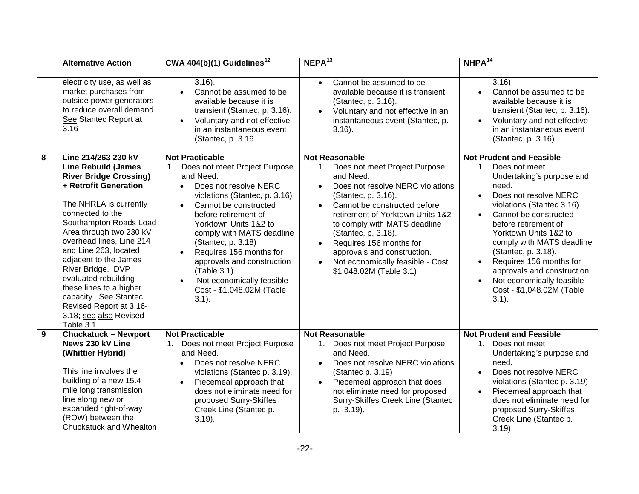|                | <b>Alternative Action</b>                                                                                                                                                                                                                                                                                                                            | CWA 404(b)(1) Guidelines <sup>12</sup>                                                                                                                                                                                                                                                                                                         | NEPA <sup>13</sup>                                                                                                                                                                                                                                                                             | $NHPA^{14}$                                                                                                                                                                                                                                                                                                                      |
|----------------|------------------------------------------------------------------------------------------------------------------------------------------------------------------------------------------------------------------------------------------------------------------------------------------------------------------------------------------------------|------------------------------------------------------------------------------------------------------------------------------------------------------------------------------------------------------------------------------------------------------------------------------------------------------------------------------------------------|------------------------------------------------------------------------------------------------------------------------------------------------------------------------------------------------------------------------------------------------------------------------------------------------|----------------------------------------------------------------------------------------------------------------------------------------------------------------------------------------------------------------------------------------------------------------------------------------------------------------------------------|
|                | with transmission<br>construction. See Stantec<br>Revised Report at 3.15.                                                                                                                                                                                                                                                                            | Yorktown to meet MATS<br>deadline (Stantec, p. 3.15).<br>Not economically<br>$\bullet$<br>feasible/practicable<br>(Stantec, p. 3.15).                                                                                                                                                                                                          | MATS deadline (Stantec, p. 3.15).<br>Not economically<br>feasible/practicable (Stantec, p.<br>$3.15$ ).                                                                                                                                                                                        | before retirement of<br>Yorktown to meet MATS<br>deadline (Stantec, p. 3.15).<br>Not economically<br>feasible/practicable<br>(Stantec, p. 3.15).                                                                                                                                                                                 |
| 6              | <b>New Generation</b><br>New generation<br>considered by DVP<br>included combined-cycle<br>and combustion turbine,<br>coal units, biomass, wind<br>and solar, and stand-<br>alone generation. See<br><b>Stantec Revised Report at</b><br>3.15; see also Revised<br>Table 3.1 (Received by<br>the U.S. Army Corps of<br>Engineers on Jan. 15,<br>2015 | <b>Not Practicable</b><br>Does not meet Project Purpose<br>and Need. (See Table 3.1)<br>Would not resolve NERC<br>$\bullet$<br>violations.<br>Cannot be constructed<br>before retirement of<br>Yorktown to meet MATS<br>deadline (Stantec, p. 3.15).<br>Not economically<br>$\bullet$<br>practicable $-$ cost is \$715<br>Million (Table 3.1). | <b>Not Reasonable</b><br>Does not meet Project Purpose<br>1.<br>and Need.<br>Would not resolve NERC<br>violations.<br>Cannot be constructed before<br>retirement of Yorktown to meet<br>MATS deadline (Stantec, p. 3.15).<br>Not economically feasible - cost<br>is \$715 Million (Table 3.1). | <b>Not Prudent and Feasible</b><br>1. Does not meet<br>Undertaking's purpose and<br>need.<br>2. Would not resolve NERC<br>violations.<br>3. Cannot be constructed<br>before retirement of<br>Yorktown to meet MATS<br>deadline (Stantec, p. 3.15).<br>4. Not economically feasible -<br>cost is \$715 Million (Table<br>$3.1$ ). |
| $\overline{7}$ | <b>Demand-Side</b>                                                                                                                                                                                                                                                                                                                                   | <b>Not Practicable</b>                                                                                                                                                                                                                                                                                                                         | <b>Not Reasonable</b>                                                                                                                                                                                                                                                                          | <b>Not Prudent and Feasible</b>                                                                                                                                                                                                                                                                                                  |
|                | <b>Management</b><br>DSM resources include<br>activities and programs<br>undertaken to influence<br>the amount and timing of                                                                                                                                                                                                                         | Does not meet Project Purpose<br>1.<br>and Need.<br>Would not resolve NERC<br>violations.<br>Speculative and need not<br>be considered (Stantec, p.                                                                                                                                                                                            | Does not meet Project Purpose and<br>1.<br>Need.<br>Would not resolve NERC<br>violations.<br>Speculative and need not be<br>considered (Stantec, p. 3.16).                                                                                                                                     | Does not meet undertaking's<br>purpose and need.<br>Would not resolve NERC<br>violations.<br>Speculative and need not<br>be considered (Stantec, p.                                                                                                                                                                              |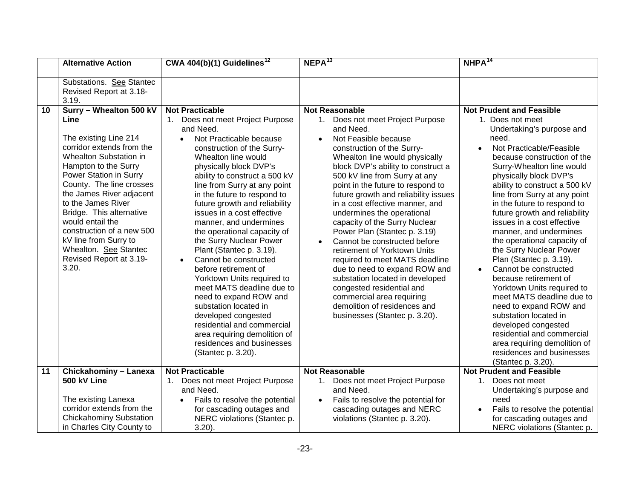|   | <b>Alternative Action</b>                                                                                                                                                                                                                                                                                                                                                                                                                                        | CWA $404(b)(1)$ Guidelines <sup>12</sup>                                                                                                                                                                                                                                                                                                                                                                                        | NEPA <sup>13</sup>                                                                                                                                                                                                                                                                                                                                                                                 | $NHPA^{14}$                                                                                                                                                                                                                                                                                                                                                                                                                                                         |
|---|------------------------------------------------------------------------------------------------------------------------------------------------------------------------------------------------------------------------------------------------------------------------------------------------------------------------------------------------------------------------------------------------------------------------------------------------------------------|---------------------------------------------------------------------------------------------------------------------------------------------------------------------------------------------------------------------------------------------------------------------------------------------------------------------------------------------------------------------------------------------------------------------------------|----------------------------------------------------------------------------------------------------------------------------------------------------------------------------------------------------------------------------------------------------------------------------------------------------------------------------------------------------------------------------------------------------|---------------------------------------------------------------------------------------------------------------------------------------------------------------------------------------------------------------------------------------------------------------------------------------------------------------------------------------------------------------------------------------------------------------------------------------------------------------------|
|   | electricity use, as well as<br>market purchases from<br>outside power generators<br>to reduce overall demand.<br>See Stantec Report at<br>3.16                                                                                                                                                                                                                                                                                                                   | $3.16$ ).<br>Cannot be assumed to be<br>available because it is<br>transient (Stantec, p. 3.16).<br>Voluntary and not effective<br>in an instantaneous event<br>(Stantec, p. 3.16.                                                                                                                                                                                                                                              | Cannot be assumed to be<br>$\bullet$<br>available because it is transient<br>(Stantec, p. 3.16).<br>Voluntary and not effective in an<br>instantaneous event (Stantec, p.<br>$3.16$ ).                                                                                                                                                                                                             | $3.16$ ).<br>Cannot be assumed to be<br>available because it is<br>transient (Stantec, p. 3.16).<br>Voluntary and not effective<br>in an instantaneous event<br>(Stantec, p. 3.16).                                                                                                                                                                                                                                                                                 |
| 8 | Line 214/263 230 kV<br><b>Line Rebuild (James</b><br><b>River Bridge Crossing)</b><br>+ Retrofit Generation<br>The NHRLA is currently<br>connected to the<br>Southampton Roads Load<br>Area through two 230 kV<br>overhead lines, Line 214<br>and Line 263, located<br>adjacent to the James<br>River Bridge. DVP<br>evaluated rebuilding<br>these lines to a higher<br>capacity. See Stantec<br>Revised Report at 3.16-<br>3.18; see also Revised<br>Table 3.1. | <b>Not Practicable</b><br>Does not meet Project Purpose<br>1.<br>and Need.<br>Does not resolve NERC<br>$\bullet$<br>violations (Stantec, p. 3.16)<br>Cannot be constructed<br>before retirement of<br>Yorktown Units 1&2 to<br>comply with MATS deadline<br>(Stantec, p. 3.18)<br>Requires 156 months for<br>approvals and construction<br>(Table 3.1).<br>Not economically feasible -<br>Cost - \$1,048.02M (Table<br>$3.1$ ). | <b>Not Reasonable</b><br>1. Does not meet Project Purpose<br>and Need.<br>Does not resolve NERC violations<br>(Stantec, p. 3.16).<br>Cannot be constructed before<br>$\bullet$<br>retirement of Yorktown Units 1&2<br>to comply with MATS deadline<br>(Stantec, p. 3.18).<br>Requires 156 months for<br>approvals and construction.<br>Not economically feasible - Cost<br>\$1,048.02M (Table 3.1) | <b>Not Prudent and Feasible</b><br>$1_{\cdot}$<br>Does not meet<br>Undertaking's purpose and<br>need.<br>Does not resolve NERC<br>$\bullet$<br>violations (Stantec 3.16).<br>Cannot be constructed<br>$\bullet$<br>before retirement of<br>Yorktown Units 1&2 to<br>comply with MATS deadline<br>(Stantec, p. 3.18).<br>Requires 156 months for<br>$\bullet$<br>approvals and construction.<br>Not economically feasible -<br>Cost - \$1,048.02M (Table<br>$3.1$ ). |
| 9 | <b>Chuckatuck - Newport</b><br>News 230 kV Line<br>(Whittier Hybrid)<br>This line involves the<br>building of a new 15.4<br>mile long transmission<br>line along new or<br>expanded right-of-way<br>(ROW) between the<br>Chuckatuck and Whealton                                                                                                                                                                                                                 | <b>Not Practicable</b><br>Does not meet Project Purpose<br>1.<br>and Need.<br>Does not resolve NERC<br>violations (Stantec p. 3.19).<br>Piecemeal approach that<br>$\bullet$<br>does not eliminate need for<br>proposed Surry-Skiffes<br>Creek Line (Stantec p.<br>$3.19$ ).                                                                                                                                                    | <b>Not Reasonable</b><br>1. Does not meet Project Purpose<br>and Need.<br>Does not resolve NERC violations<br>$\bullet$<br>(Stantec p. 3.19)<br>Piecemeal approach that does<br>$\bullet$<br>not eliminate need for proposed<br>Surry-Skiffes Creek Line (Stantec<br>p. 3.19).                                                                                                                     | <b>Not Prudent and Feasible</b><br>$1_{\cdot}$<br>Does not meet<br>Undertaking's purpose and<br>need.<br>Does not resolve NERC<br>$\bullet$<br>violations (Stantec p. 3.19)<br>Piecemeal approach that<br>does not eliminate need for<br>proposed Surry-Skiffes<br>Creek Line (Stantec p.<br>$3.19$ ).                                                                                                                                                              |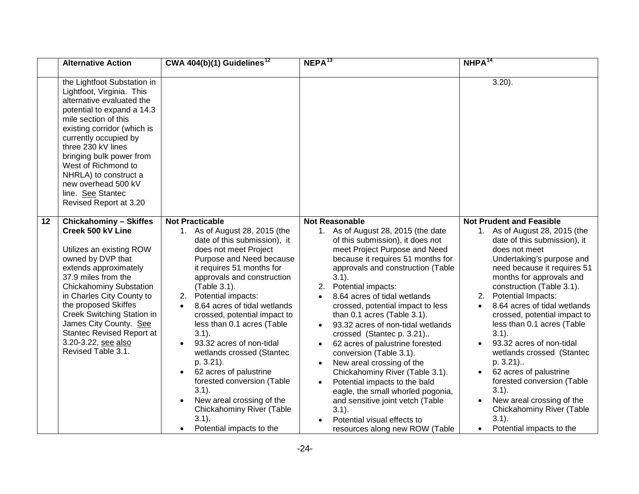|    | <b>Alternative Action</b>                                                                                                                                                                                                                                                                                                                                                                                          | CWA 404(b)(1) Guidelines <sup>12</sup>                                                                                                                                                                                                                                                                                                                                                                                                                                                                                                                                                                                                                                                                                                                                                            | NEPA <sup>13</sup>                                                                                                                                                                                                                                                                                                                                                                                                                                                                                                                                                                                                                                                                                                                                                 | $NHPA^{14}$                                                                                                                                                                                                                                                                                                                                                                                                                                                                                                                                                                                                                                                                                                                                                                                       |
|----|--------------------------------------------------------------------------------------------------------------------------------------------------------------------------------------------------------------------------------------------------------------------------------------------------------------------------------------------------------------------------------------------------------------------|---------------------------------------------------------------------------------------------------------------------------------------------------------------------------------------------------------------------------------------------------------------------------------------------------------------------------------------------------------------------------------------------------------------------------------------------------------------------------------------------------------------------------------------------------------------------------------------------------------------------------------------------------------------------------------------------------------------------------------------------------------------------------------------------------|--------------------------------------------------------------------------------------------------------------------------------------------------------------------------------------------------------------------------------------------------------------------------------------------------------------------------------------------------------------------------------------------------------------------------------------------------------------------------------------------------------------------------------------------------------------------------------------------------------------------------------------------------------------------------------------------------------------------------------------------------------------------|---------------------------------------------------------------------------------------------------------------------------------------------------------------------------------------------------------------------------------------------------------------------------------------------------------------------------------------------------------------------------------------------------------------------------------------------------------------------------------------------------------------------------------------------------------------------------------------------------------------------------------------------------------------------------------------------------------------------------------------------------------------------------------------------------|
|    | Substations. See Stantec<br>Revised Report at 3.18-<br>3.19.                                                                                                                                                                                                                                                                                                                                                       |                                                                                                                                                                                                                                                                                                                                                                                                                                                                                                                                                                                                                                                                                                                                                                                                   |                                                                                                                                                                                                                                                                                                                                                                                                                                                                                                                                                                                                                                                                                                                                                                    |                                                                                                                                                                                                                                                                                                                                                                                                                                                                                                                                                                                                                                                                                                                                                                                                   |
| 10 | Surry - Whealton 500 kV<br>Line<br>The existing Line 214<br>corridor extends from the<br>Whealton Substation in<br>Hampton to the Surry<br>Power Station in Surry<br>County. The line crosses<br>the James River adjacent<br>to the James River<br>Bridge. This alternative<br>would entail the<br>construction of a new 500<br>kV line from Surry to<br>Whealton. See Stantec<br>Revised Report at 3.19-<br>3.20. | <b>Not Practicable</b><br>1. Does not meet Project Purpose<br>and Need.<br>Not Practicable because<br>$\bullet$<br>construction of the Surry-<br>Whealton line would<br>physically block DVP's<br>ability to construct a 500 kV<br>line from Surry at any point<br>in the future to respond to<br>future growth and reliability<br>issues in a cost effective<br>manner, and undermines<br>the operational capacity of<br>the Surry Nuclear Power<br>Plant (Stantec p. 3.19).<br>Cannot be constructed<br>$\bullet$<br>before retirement of<br>Yorktown Units required to<br>meet MATS deadline due to<br>need to expand ROW and<br>substation located in<br>developed congested<br>residential and commercial<br>area requiring demolition of<br>residences and businesses<br>(Stantec p. 3.20). | <b>Not Reasonable</b><br>1. Does not meet Project Purpose<br>and Need.<br>Not Feasible because<br>$\bullet$<br>construction of the Surry-<br>Whealton line would physically<br>block DVP's ability to construct a<br>500 kV line from Surry at any<br>point in the future to respond to<br>future growth and reliability issues<br>in a cost effective manner, and<br>undermines the operational<br>capacity of the Surry Nuclear<br>Power Plan (Stantec p. 3.19)<br>Cannot be constructed before<br>retirement of Yorktown Units<br>required to meet MATS deadline<br>due to need to expand ROW and<br>substation located in developed<br>congested residential and<br>commercial area requiring<br>demolition of residences and<br>businesses (Stantec p. 3.20). | <b>Not Prudent and Feasible</b><br>1. Does not meet<br>Undertaking's purpose and<br>need.<br>Not Practicable/Feasible<br>because construction of the<br>Surry-Whealton line would<br>physically block DVP's<br>ability to construct a 500 kV<br>line from Surry at any point<br>in the future to respond to<br>future growth and reliability<br>issues in a cost effective<br>manner, and undermines<br>the operational capacity of<br>the Surry Nuclear Power<br>Plan (Stantec p. 3.19).<br>Cannot be constructed<br>because retirement of<br>Yorktown Units required to<br>meet MATS deadline due to<br>need to expand ROW and<br>substation located in<br>developed congested<br>residential and commercial<br>area requiring demolition of<br>residences and businesses<br>(Stantec p. 3.20). |
| 11 | <b>Chickahominy - Lanexa</b>                                                                                                                                                                                                                                                                                                                                                                                       | <b>Not Practicable</b>                                                                                                                                                                                                                                                                                                                                                                                                                                                                                                                                                                                                                                                                                                                                                                            | <b>Not Reasonable</b>                                                                                                                                                                                                                                                                                                                                                                                                                                                                                                                                                                                                                                                                                                                                              | <b>Not Prudent and Feasible</b>                                                                                                                                                                                                                                                                                                                                                                                                                                                                                                                                                                                                                                                                                                                                                                   |
|    | 500 kV Line<br>The existing Lanexa<br>corridor extends from the<br><b>Chickahominy Substation</b><br>in Charles City County to                                                                                                                                                                                                                                                                                     | Does not meet Project Purpose<br>1.<br>and Need.<br>Fails to resolve the potential<br>$\bullet$<br>for cascading outages and<br>NERC violations (Stantec p.<br>$3.20$ ).                                                                                                                                                                                                                                                                                                                                                                                                                                                                                                                                                                                                                          | 1. Does not meet Project Purpose<br>and Need.<br>Fails to resolve the potential for<br>cascading outages and NERC<br>violations (Stantec p. 3.20).                                                                                                                                                                                                                                                                                                                                                                                                                                                                                                                                                                                                                 | $1_{\cdot}$<br>Does not meet<br>Undertaking's purpose and<br>need<br>Fails to resolve the potential<br>for cascading outages and<br>NERC violations (Stantec p.                                                                                                                                                                                                                                                                                                                                                                                                                                                                                                                                                                                                                                   |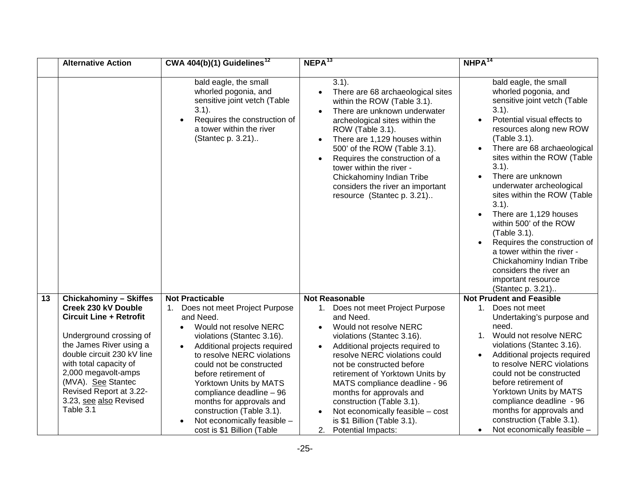|    | <b>Alternative Action</b>                                                                                                                                                                                                                                                                                                                                                           | CWA 404(b)(1) Guidelines <sup>12</sup>                                                                                                                                                                                                                                                                                                                                                                                                                                                                                                                                                                              | NEPA <sup>13</sup>                                                                                                                                                                                                                                                                                                                                                                                                                                                                                                                                                                                                                                                                                                                         | NHPA <sup>14</sup>                                                                                                                                                                                                                                                                                                                                                                                                                                                                                                                                                                                                                                                |
|----|-------------------------------------------------------------------------------------------------------------------------------------------------------------------------------------------------------------------------------------------------------------------------------------------------------------------------------------------------------------------------------------|---------------------------------------------------------------------------------------------------------------------------------------------------------------------------------------------------------------------------------------------------------------------------------------------------------------------------------------------------------------------------------------------------------------------------------------------------------------------------------------------------------------------------------------------------------------------------------------------------------------------|--------------------------------------------------------------------------------------------------------------------------------------------------------------------------------------------------------------------------------------------------------------------------------------------------------------------------------------------------------------------------------------------------------------------------------------------------------------------------------------------------------------------------------------------------------------------------------------------------------------------------------------------------------------------------------------------------------------------------------------------|-------------------------------------------------------------------------------------------------------------------------------------------------------------------------------------------------------------------------------------------------------------------------------------------------------------------------------------------------------------------------------------------------------------------------------------------------------------------------------------------------------------------------------------------------------------------------------------------------------------------------------------------------------------------|
|    | the Lightfoot Substation in<br>Lightfoot, Virginia. This<br>alternative evaluated the<br>potential to expand a 14.3<br>mile section of this<br>existing corridor (which is<br>currently occupied by<br>three 230 kV lines<br>bringing bulk power from<br>West of Richmond to<br>NHRLA) to construct a<br>new overhead 500 kV<br>line. See Stantec<br>Revised Report at 3.20         |                                                                                                                                                                                                                                                                                                                                                                                                                                                                                                                                                                                                                     |                                                                                                                                                                                                                                                                                                                                                                                                                                                                                                                                                                                                                                                                                                                                            | $3.20$ ).                                                                                                                                                                                                                                                                                                                                                                                                                                                                                                                                                                                                                                                         |
| 12 | <b>Chickahominy - Skiffes</b><br>Creek 500 kV Line<br>Utilizes an existing ROW<br>owned by DVP that<br>extends approximately<br>37.9 miles from the<br><b>Chickahominy Substation</b><br>in Charles City County to<br>the proposed Skiffes<br>Creek Switching Station in<br>James City County. See<br><b>Stantec Revised Report at</b><br>3.20-3.22, see also<br>Revised Table 3.1. | <b>Not Practicable</b><br>1. As of August 28, 2015 (the<br>date of this submission), it<br>does not meet Project<br>Purpose and Need because<br>it requires 51 months for<br>approvals and construction<br>(Table 3.1).<br>2. Potential impacts:<br>8.64 acres of tidal wetlands<br>$\bullet$<br>crossed, potential impact to<br>less than 0.1 acres (Table<br>$3.1$ ).<br>93.32 acres of non-tidal<br>wetlands crossed (Stantec<br>p. 3.21).<br>62 acres of palustrine<br>forested conversion (Table<br>$3.1$ ).<br>New areal crossing of the<br>Chickahominy River (Table<br>$3.1$ ).<br>Potential impacts to the | <b>Not Reasonable</b><br>1. As of August 28, 2015 (the date<br>of this submission), it does not<br>meet Project Purpose and Need<br>because it requires 51 months for<br>approvals and construction (Table<br>$3.1$ ).<br>2. Potential impacts:<br>8.64 acres of tidal wetlands<br>crossed, potential impact to less<br>than 0.1 acres (Table 3.1).<br>93.32 acres of non-tidal wetlands<br>crossed (Stantec p. 3.21)<br>62 acres of palustrine forested<br>conversion (Table 3.1).<br>New areal crossing of the<br>Chickahominy River (Table 3.1).<br>Potential impacts to the bald<br>eagle, the small whorled pogonia,<br>and sensitive joint vetch (Table<br>$3.1$ ).<br>Potential visual effects to<br>resources along new ROW (Table | <b>Not Prudent and Feasible</b><br>As of August 28, 2015 (the<br>1.<br>date of this submission), it<br>does not meet<br>Undertaking's purpose and<br>need because it requires 51<br>months for approvals and<br>construction (Table 3.1).<br>Potential Impacts:<br>2.<br>8.64 acres of tidal wetlands<br>$\bullet$<br>crossed, potential impact to<br>less than 0.1 acres (Table<br>$3.1$ ).<br>93.32 acres of non-tidal<br>wetlands crossed (Stantec<br>p. 3.21)<br>62 acres of palustrine<br>$\bullet$<br>forested conversion (Table<br>$3.1$ ).<br>New areal crossing of the<br>Chickahominy River (Table<br>$3.1$ ).<br>Potential impacts to the<br>$\bullet$ |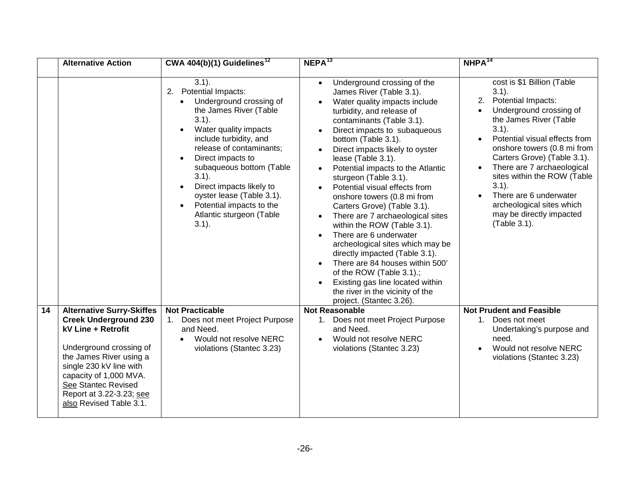|    | <b>Alternative Action</b>                                                                                                                                                                                                                                                          | CWA $4\overline{04(b)(1)}$ Guidelines <sup>12</sup>                                                                                                                                                                                                                                                                                                                                                                              | NEPA <sup>13</sup>                                                                                                                                                                                                                                                                                                                                                                                                                           | $NHPA^{14}$                                                                                                                                                                                                                                                                                                                                                                                                                                                                                                                                                                   |
|----|------------------------------------------------------------------------------------------------------------------------------------------------------------------------------------------------------------------------------------------------------------------------------------|----------------------------------------------------------------------------------------------------------------------------------------------------------------------------------------------------------------------------------------------------------------------------------------------------------------------------------------------------------------------------------------------------------------------------------|----------------------------------------------------------------------------------------------------------------------------------------------------------------------------------------------------------------------------------------------------------------------------------------------------------------------------------------------------------------------------------------------------------------------------------------------|-------------------------------------------------------------------------------------------------------------------------------------------------------------------------------------------------------------------------------------------------------------------------------------------------------------------------------------------------------------------------------------------------------------------------------------------------------------------------------------------------------------------------------------------------------------------------------|
|    |                                                                                                                                                                                                                                                                                    | bald eagle, the small<br>whorled pogonia, and<br>sensitive joint vetch (Table<br>$3.1$ ).<br>Requires the construction of<br>a tower within the river<br>(Stantec p. 3.21)                                                                                                                                                                                                                                                       | $3.1$ ).<br>There are 68 archaeological sites<br>within the ROW (Table 3.1).<br>There are unknown underwater<br>archeological sites within the<br>ROW (Table 3.1).<br>There are 1,129 houses within<br>500' of the ROW (Table 3.1).<br>Requires the construction of a<br>tower within the river -<br>Chickahominy Indian Tribe<br>considers the river an important<br>resource (Stantec p. 3.21)                                             | bald eagle, the small<br>whorled pogonia, and<br>sensitive joint vetch (Table<br>$3.1$ ).<br>Potential visual effects to<br>resources along new ROW<br>(Table 3.1).<br>There are 68 archaeological<br>sites within the ROW (Table<br>$3.1$ ).<br>There are unknown<br>underwater archeological<br>sites within the ROW (Table<br>$3.1$ ).<br>There are 1,129 houses<br>within 500' of the ROW<br>(Table 3.1).<br>Requires the construction of<br>a tower within the river -<br>Chickahominy Indian Tribe<br>considers the river an<br>important resource<br>(Stantec p. 3.21) |
| 13 | <b>Chickahominy - Skiffes</b>                                                                                                                                                                                                                                                      | <b>Not Practicable</b>                                                                                                                                                                                                                                                                                                                                                                                                           | <b>Not Reasonable</b>                                                                                                                                                                                                                                                                                                                                                                                                                        | <b>Not Prudent and Feasible</b>                                                                                                                                                                                                                                                                                                                                                                                                                                                                                                                                               |
|    | Creek 230 kV Double<br><b>Circuit Line + Retrofit</b><br>Underground crossing of<br>the James River using a<br>double circuit 230 kV line<br>with total capacity of<br>2,000 megavolt-amps<br>(MVA). See Stantec<br>Revised Report at 3.22-<br>3.23, see also Revised<br>Table 3.1 | Does not meet Project Purpose<br>1.<br>and Need.<br>Would not resolve NERC<br>$\bullet$<br>violations (Stantec 3.16).<br>Additional projects required<br>$\bullet$<br>to resolve NERC violations<br>could not be constructed<br>before retirement of<br>Yorktown Units by MATS<br>compliance deadline - 96<br>months for approvals and<br>construction (Table 3.1).<br>Not economically feasible -<br>cost is \$1 Billion (Table | Does not meet Project Purpose<br>1.<br>and Need.<br>Would not resolve NERC<br>violations (Stantec 3.16).<br>Additional projects required to<br>resolve NERC violations could<br>not be constructed before<br>retirement of Yorktown Units by<br>MATS compliance deadline - 96<br>months for approvals and<br>construction (Table 3.1).<br>Not economically feasible - cost<br>is \$1 Billion (Table 3.1).<br><b>Potential Impacts:</b><br>2. | 1.<br>Does not meet<br>Undertaking's purpose and<br>need.<br>1. Would not resolve NERC<br>violations (Stantec 3.16).<br>Additional projects required<br>to resolve NERC violations<br>could not be constructed<br>before retirement of<br>Yorktown Units by MATS<br>compliance deadline - 96<br>months for approvals and<br>construction (Table 3.1).<br>Not economically feasible -<br>$\bullet$                                                                                                                                                                             |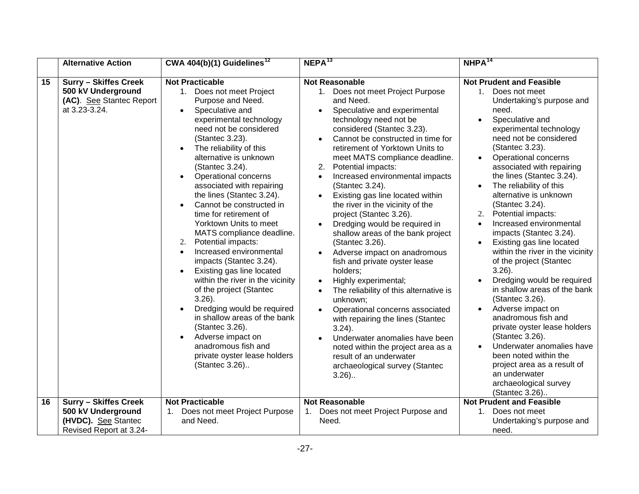|    | <b>Alternative Action</b>                                                                                                                                                                                                                   | CWA 404(b)(1) Guidelines <sup>12</sup>                                                                                                                                                                                                                                                                                                                                                                   | $NEPA^{13}$                                                                                                                                                                                                                                                                                                                                                                                                                                                                                                                                                                                                                                                                                                                                                                        | $NHPA^{14}$                                                                                                                                                                                                                                                                                                                                                                                                                 |
|----|---------------------------------------------------------------------------------------------------------------------------------------------------------------------------------------------------------------------------------------------|----------------------------------------------------------------------------------------------------------------------------------------------------------------------------------------------------------------------------------------------------------------------------------------------------------------------------------------------------------------------------------------------------------|------------------------------------------------------------------------------------------------------------------------------------------------------------------------------------------------------------------------------------------------------------------------------------------------------------------------------------------------------------------------------------------------------------------------------------------------------------------------------------------------------------------------------------------------------------------------------------------------------------------------------------------------------------------------------------------------------------------------------------------------------------------------------------|-----------------------------------------------------------------------------------------------------------------------------------------------------------------------------------------------------------------------------------------------------------------------------------------------------------------------------------------------------------------------------------------------------------------------------|
|    |                                                                                                                                                                                                                                             | $3.1$ ).<br>2.<br>Potential Impacts:<br>Underground crossing of<br>$\bullet$<br>the James River (Table<br>$3.1$ ).<br>Water quality impacts<br>$\bullet$<br>include turbidity, and<br>release of contaminants;<br>Direct impacts to<br>subaqueous bottom (Table<br>$3.1$ ).<br>Direct impacts likely to<br>oyster lease (Table 3.1).<br>Potential impacts to the<br>Atlantic sturgeon (Table<br>$3.1$ ). | Underground crossing of the<br>$\bullet$<br>James River (Table 3.1).<br>Water quality impacts include<br>turbidity, and release of<br>contaminants (Table 3.1).<br>Direct impacts to subaqueous<br>bottom (Table 3.1).<br>Direct impacts likely to oyster<br>lease (Table 3.1).<br>Potential impacts to the Atlantic<br>sturgeon (Table 3.1).<br>Potential visual effects from<br>onshore towers (0.8 mi from<br>Carters Grove) (Table 3.1).<br>There are 7 archaeological sites<br>within the ROW (Table 3.1).<br>There are 6 underwater<br>archeological sites which may be<br>directly impacted (Table 3.1).<br>There are 84 houses within 500'<br>of the ROW (Table 3.1).;<br>Existing gas line located within<br>the river in the vicinity of the<br>project. (Stantec 3.26). | cost is \$1 Billion (Table<br>$3.1$ ).<br>2.<br>Potential Impacts:<br>Underground crossing of<br>$\bullet$<br>the James River (Table<br>$3.1$ ).<br>Potential visual effects from<br>onshore towers (0.8 mi from<br>Carters Grove) (Table 3.1).<br>There are 7 archaeological<br>sites within the ROW (Table<br>$3.1$ ).<br>There are 6 underwater<br>archeological sites which<br>may be directly impacted<br>(Table 3.1). |
| 14 | <b>Alternative Surry-Skiffes</b>                                                                                                                                                                                                            | <b>Not Practicable</b>                                                                                                                                                                                                                                                                                                                                                                                   | <b>Not Reasonable</b>                                                                                                                                                                                                                                                                                                                                                                                                                                                                                                                                                                                                                                                                                                                                                              | <b>Not Prudent and Feasible</b>                                                                                                                                                                                                                                                                                                                                                                                             |
|    | <b>Creek Underground 230</b><br>kV Line + Retrofit<br>Underground crossing of<br>the James River using a<br>single 230 kV line with<br>capacity of 1,000 MVA.<br>See Stantec Revised<br>Report at 3.22-3.23; see<br>also Revised Table 3.1. | 1. Does not meet Project Purpose<br>and Need.<br>Would not resolve NERC<br>$\bullet$<br>violations (Stantec 3.23)                                                                                                                                                                                                                                                                                        | 1. Does not meet Project Purpose<br>and Need.<br>Would not resolve NERC<br>violations (Stantec 3.23)                                                                                                                                                                                                                                                                                                                                                                                                                                                                                                                                                                                                                                                                               | Does not meet<br>1.<br>Undertaking's purpose and<br>need.<br>Would not resolve NERC<br>violations (Stantec 3.23)                                                                                                                                                                                                                                                                                                            |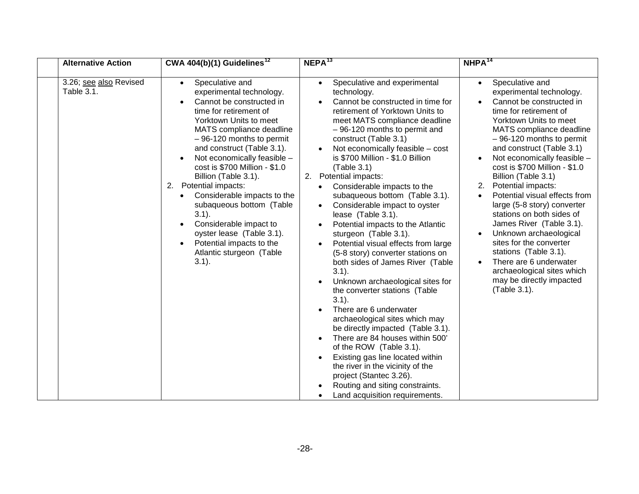|    | <b>Alternative Action</b>                                                                       | CWA 404(b)(1) Guidelines <sup>12</sup>                                                                                                                                                                                                                                                                                                                                                                                                                                                                                                                                                                                                                                                                                                                                                                                                                                                                         | NEPA <sup>13</sup>                                                                                                                                                                                                                                                                                                                                                                                                                                                                                                                                                                                                                                                                                                                                                                                                                                                                                                                                                                | $NHPA^{14}$                                                                                                                                                                                                                                                                                                                                                                                                                                                                                                                                                                                                                                                                                                                                                                                                                                                                   |
|----|-------------------------------------------------------------------------------------------------|----------------------------------------------------------------------------------------------------------------------------------------------------------------------------------------------------------------------------------------------------------------------------------------------------------------------------------------------------------------------------------------------------------------------------------------------------------------------------------------------------------------------------------------------------------------------------------------------------------------------------------------------------------------------------------------------------------------------------------------------------------------------------------------------------------------------------------------------------------------------------------------------------------------|-----------------------------------------------------------------------------------------------------------------------------------------------------------------------------------------------------------------------------------------------------------------------------------------------------------------------------------------------------------------------------------------------------------------------------------------------------------------------------------------------------------------------------------------------------------------------------------------------------------------------------------------------------------------------------------------------------------------------------------------------------------------------------------------------------------------------------------------------------------------------------------------------------------------------------------------------------------------------------------|-------------------------------------------------------------------------------------------------------------------------------------------------------------------------------------------------------------------------------------------------------------------------------------------------------------------------------------------------------------------------------------------------------------------------------------------------------------------------------------------------------------------------------------------------------------------------------------------------------------------------------------------------------------------------------------------------------------------------------------------------------------------------------------------------------------------------------------------------------------------------------|
| 15 | <b>Surry - Skiffes Creek</b><br>500 kV Underground<br>(AC). See Stantec Report<br>at 3.23-3.24. | <b>Not Practicable</b><br>1. Does not meet Project<br>Purpose and Need.<br>Speculative and<br>$\bullet$<br>experimental technology<br>need not be considered<br>(Stantec 3.23).<br>The reliability of this<br>$\bullet$<br>alternative is unknown<br>(Stantec 3.24).<br>Operational concerns<br>$\bullet$<br>associated with repairing<br>the lines (Stantec 3.24).<br>Cannot be constructed in<br>$\bullet$<br>time for retirement of<br>Yorktown Units to meet<br>MATS compliance deadline.<br>Potential impacts:<br>2.<br>Increased environmental<br>$\bullet$<br>impacts (Stantec 3.24).<br>Existing gas line located<br>$\bullet$<br>within the river in the vicinity<br>of the project (Stantec<br>$3.26$ ).<br>Dredging would be required<br>in shallow areas of the bank<br>(Stantec 3.26).<br>Adverse impact on<br>$\bullet$<br>anadromous fish and<br>private oyster lease holders<br>(Stantec 3.26) | <b>Not Reasonable</b><br>1. Does not meet Project Purpose<br>and Need.<br>Speculative and experimental<br>technology need not be<br>considered (Stantec 3.23).<br>Cannot be constructed in time for<br>retirement of Yorktown Units to<br>meet MATS compliance deadline.<br>2.<br>Potential impacts:<br>Increased environmental impacts<br>$\bullet$<br>(Stantec 3.24).<br>Existing gas line located within<br>$\bullet$<br>the river in the vicinity of the<br>project (Stantec 3.26).<br>Dredging would be required in<br>shallow areas of the bank project<br>(Stantec 3.26).<br>Adverse impact on anadromous<br>fish and private oyster lease<br>holders;<br>Highly experimental;<br>The reliability of this alternative is<br>unknown;<br>Operational concerns associated<br>with repairing the lines (Stantec<br>$3.24$ ).<br>Underwater anomalies have been<br>noted within the project area as a<br>result of an underwater<br>archaeological survey (Stantec<br>$3.26$ ) | <b>Not Prudent and Feasible</b><br>1.<br>Does not meet<br>Undertaking's purpose and<br>need.<br>Speculative and<br>experimental technology<br>need not be considered<br>(Stantec 3.23).<br>Operational concerns<br>associated with repairing<br>the lines (Stantec 3.24).<br>The reliability of this<br>alternative is unknown<br>(Stantec 3.24).<br>Potential impacts:<br>2.<br>Increased environmental<br>impacts (Stantec 3.24).<br>Existing gas line located<br>within the river in the vicinity<br>of the project (Stantec<br>$3.26$ ).<br>Dredging would be required<br>in shallow areas of the bank<br>(Stantec 3.26).<br>Adverse impact on<br>anadromous fish and<br>private oyster lease holders<br>(Stantec 3.26).<br>Underwater anomalies have<br>been noted within the<br>project area as a result of<br>an underwater<br>archaeological survey<br>(Stantec 3.26) |
| 16 | Surry - Skiffes Creek<br>500 kV Underground<br>(HVDC). See Stantec<br>Revised Report at 3.24-   | <b>Not Practicable</b><br>Does not meet Project Purpose<br>and Need.                                                                                                                                                                                                                                                                                                                                                                                                                                                                                                                                                                                                                                                                                                                                                                                                                                           | <b>Not Reasonable</b><br>Does not meet Project Purpose and<br>1.<br>Need.                                                                                                                                                                                                                                                                                                                                                                                                                                                                                                                                                                                                                                                                                                                                                                                                                                                                                                         | <b>Not Prudent and Feasible</b><br>Does not meet<br>$1_{\cdot}$<br>Undertaking's purpose and<br>need.                                                                                                                                                                                                                                                                                                                                                                                                                                                                                                                                                                                                                                                                                                                                                                         |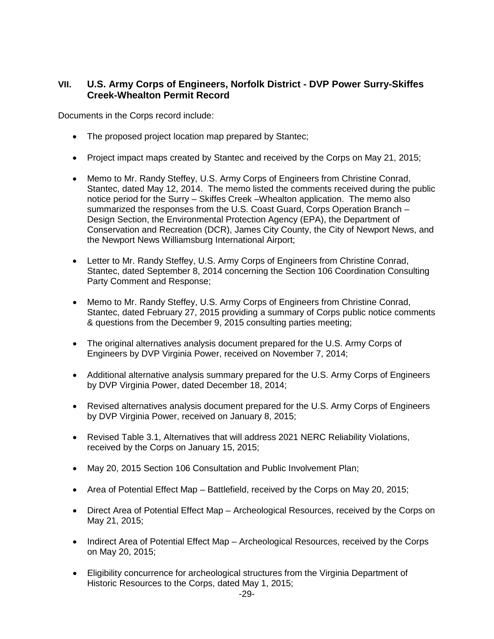| <b>Alternative Action</b>            | CWA $4\overline{04(b)(1)}$ Guidelines <sup>12</sup>                                                                                                                                                                                                                                                                                                                                                                                                                                                                                                                                                     | NEPA <sup>13</sup>                                                                                                                                                                                                                                                                                                                                                                                                                                                                                                                                                                                                                                                                                                                                                                                                                                                                                                                                                                                                                                                                   | NHPA <sup>14</sup>                                                                                                                                                                                                                                                                                                                                                                                                                                                                                                                                                                                                                                                         |
|--------------------------------------|---------------------------------------------------------------------------------------------------------------------------------------------------------------------------------------------------------------------------------------------------------------------------------------------------------------------------------------------------------------------------------------------------------------------------------------------------------------------------------------------------------------------------------------------------------------------------------------------------------|--------------------------------------------------------------------------------------------------------------------------------------------------------------------------------------------------------------------------------------------------------------------------------------------------------------------------------------------------------------------------------------------------------------------------------------------------------------------------------------------------------------------------------------------------------------------------------------------------------------------------------------------------------------------------------------------------------------------------------------------------------------------------------------------------------------------------------------------------------------------------------------------------------------------------------------------------------------------------------------------------------------------------------------------------------------------------------------|----------------------------------------------------------------------------------------------------------------------------------------------------------------------------------------------------------------------------------------------------------------------------------------------------------------------------------------------------------------------------------------------------------------------------------------------------------------------------------------------------------------------------------------------------------------------------------------------------------------------------------------------------------------------------|
| 3.26; see also Revised<br>Table 3.1. | Speculative and<br>$\bullet$<br>experimental technology.<br>Cannot be constructed in<br>$\bullet$<br>time for retirement of<br>Yorktown Units to meet<br>MATS compliance deadline<br>$-96-120$ months to permit<br>and construct (Table 3.1).<br>Not economically feasible -<br>cost is \$700 Million - \$1.0<br>Billion (Table 3.1).<br>2. Potential impacts:<br>Considerable impacts to the<br>$\bullet$<br>subaqueous bottom (Table<br>$3.1$ ).<br>Considerable impact to<br>$\bullet$<br>oyster lease (Table 3.1).<br>Potential impacts to the<br>$\bullet$<br>Atlantic sturgeon (Table<br>$3.1$ ). | Speculative and experimental<br>$\bullet$<br>technology.<br>Cannot be constructed in time for<br>retirement of Yorktown Units to<br>meet MATS compliance deadline<br>-96-120 months to permit and<br>construct (Table 3.1)<br>Not economically feasible - cost<br>is \$700 Million - \$1.0 Billion<br>(Table 3.1)<br>2. Potential impacts:<br>Considerable impacts to the<br>subaqueous bottom (Table 3.1).<br>Considerable impact to oyster<br>lease (Table 3.1).<br>Potential impacts to the Atlantic<br>sturgeon (Table 3.1).<br>Potential visual effects from large<br>(5-8 story) converter stations on<br>both sides of James River (Table<br>$3.1$ ).<br>Unknown archaeological sites for<br>the converter stations (Table<br>$3.1$ ).<br>There are 6 underwater<br>archaeological sites which may<br>be directly impacted (Table 3.1).<br>There are 84 houses within 500'<br>of the ROW (Table 3.1).<br>Existing gas line located within<br>the river in the vicinity of the<br>project (Stantec 3.26).<br>Routing and siting constraints.<br>Land acquisition requirements. | Speculative and<br>$\bullet$<br>experimental technology.<br>Cannot be constructed in<br>time for retirement of<br>Yorktown Units to meet<br>MATS compliance deadline<br>$-96-120$ months to permit<br>and construct (Table 3.1)<br>Not economically feasible -<br>cost is \$700 Million - \$1.0<br>Billion (Table 3.1)<br>Potential impacts:<br>2.<br>Potential visual effects from<br>$\bullet$<br>large (5-8 story) converter<br>stations on both sides of<br>James River (Table 3.1).<br>Unknown archaeological<br>sites for the converter<br>stations (Table 3.1).<br>There are 6 underwater<br>archaeological sites which<br>may be directly impacted<br>(Table 3.1). |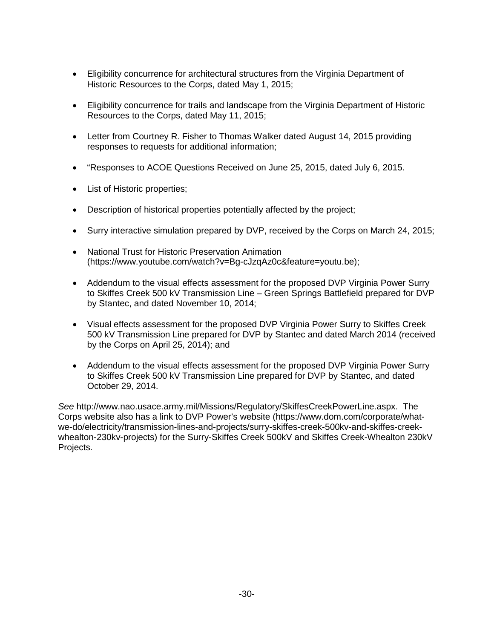# **VII. U.S. Army Corps of Engineers, Norfolk District - DVP Power Surry-Skiffes Creek-Whealton Permit Record**

Documents in the Corps record include:

- The proposed project location map prepared by Stantec;
- Project impact maps created by Stantec and received by the Corps on May 21, 2015;
- Memo to Mr. Randy Steffey, U.S. Army Corps of Engineers from Christine Conrad, Stantec, dated May 12, 2014. The memo listed the comments received during the public notice period for the Surry – Skiffes Creek –Whealton application. The memo also summarized the responses from the U.S. Coast Guard, Corps Operation Branch – Design Section, the Environmental Protection Agency (EPA), the Department of Conservation and Recreation (DCR), James City County, the City of Newport News, and the Newport News Williamsburg International Airport;
- Letter to Mr. Randy Steffey, U.S. Army Corps of Engineers from Christine Conrad, Stantec, dated September 8, 2014 concerning the Section 106 Coordination Consulting Party Comment and Response;
- Memo to Mr. Randy Steffey, U.S. Army Corps of Engineers from Christine Conrad, Stantec, dated February 27, 2015 providing a summary of Corps public notice comments & questions from the December 9, 2015 consulting parties meeting;
- The original alternatives analysis document prepared for the U.S. Army Corps of Engineers by DVP Virginia Power, received on November 7, 2014;
- Additional alternative analysis summary prepared for the U.S. Army Corps of Engineers by DVP Virginia Power, dated December 18, 2014;
- Revised alternatives analysis document prepared for the U.S. Army Corps of Engineers by DVP Virginia Power, received on January 8, 2015;
- Revised Table 3.1, Alternatives that will address 2021 NERC Reliability Violations, received by the Corps on January 15, 2015;
- May 20, 2015 Section 106 Consultation and Public Involvement Plan;
- Area of Potential Effect Map Battlefield, received by the Corps on May 20, 2015;
- Direct Area of Potential Effect Map Archeological Resources, received by the Corps on May 21, 2015;
- Indirect Area of Potential Effect Map Archeological Resources, received by the Corps on May 20, 2015;
- Eligibility concurrence for archeological structures from the Virginia Department of Historic Resources to the Corps, dated May 1, 2015;